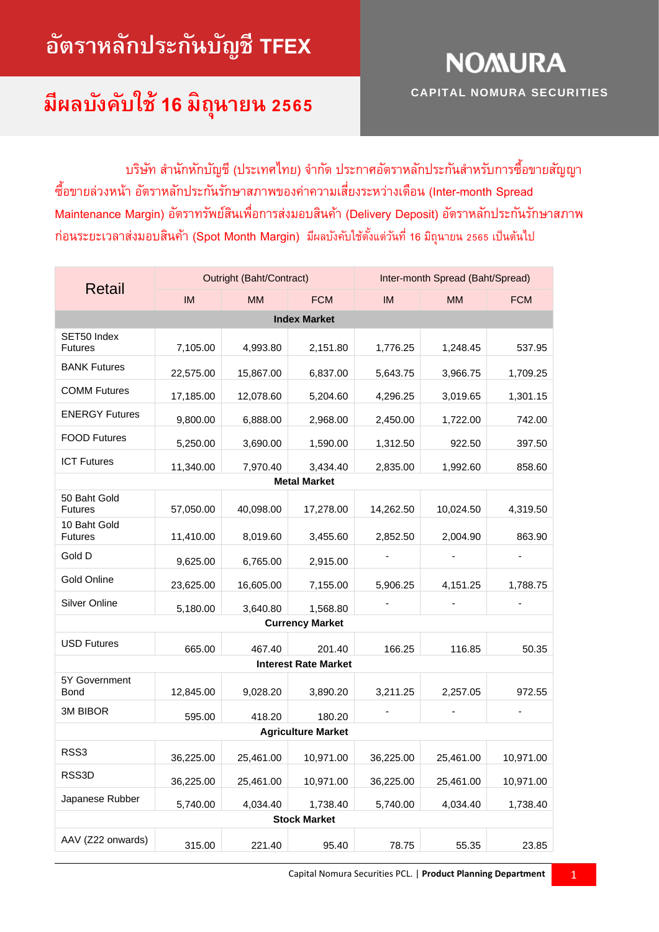# **อัตราหลักประกันบัญชี TFEX**

#### **มีผลบังคับใช้ 16 ม ิ ถน ายน 2565 ุ**

**CAPITAL NOMURA SECURITIES**

**NOMURA** 

้บริษัท สำนักหักบัญชี (ประเทศไทย) จำกัด ประกาศอัตราหลักประกันสำหรับการซื้อขายสัญญา ซื้อขำยล่วงหน้ำ อัตรำหลักประกันรักษำสภำพของค่ำควำมเสี่ยงระหว่ำงเดือน (Inter-month Spread Maintenance Margin) อัตรำทรัพย์สินเพื่อกำรส่งมอบสินค้ำ (Delivery Deposit) อัตรำหลักประกันรักษำสภำพ ก่อนระยะเวลำส่งมอบสินค้ำ (Spot Month Margin) มีผลบังคับใช้ตั้งแต่วันที่16 มิถุนำยน 2565 เป็นต้นไป

|                                |           | Outright (Baht/Contract) |                             | Inter-month Spread (Baht/Spread) |           |            |
|--------------------------------|-----------|--------------------------|-----------------------------|----------------------------------|-----------|------------|
| <b>Retail</b>                  | IM        | <b>MM</b>                | <b>FCM</b>                  | IM                               | <b>MM</b> | <b>FCM</b> |
|                                |           |                          | <b>Index Market</b>         |                                  |           |            |
| SET50 Index<br><b>Futures</b>  | 7,105.00  | 4,993.80                 | 2,151.80                    | 1,776.25                         | 1,248.45  | 537.95     |
| <b>BANK Futures</b>            | 22,575.00 | 15,867.00                | 6,837.00                    | 5,643.75                         | 3,966.75  | 1,709.25   |
| <b>COMM Futures</b>            | 17,185.00 | 12,078.60                | 5,204.60                    | 4,296.25                         | 3,019.65  | 1,301.15   |
| <b>ENERGY Futures</b>          | 9,800.00  | 6,888.00                 | 2,968.00                    | 2,450.00                         | 1,722.00  | 742.00     |
| <b>FOOD Futures</b>            | 5,250.00  | 3,690.00                 | 1,590.00                    | 1,312.50                         | 922.50    | 397.50     |
| <b>ICT Futures</b>             | 11,340.00 | 7,970.40                 | 3,434.40                    | 2,835.00                         | 1,992.60  | 858.60     |
|                                |           |                          | <b>Metal Market</b>         |                                  |           |            |
| 50 Baht Gold<br><b>Futures</b> | 57,050.00 | 40,098.00                | 17,278.00                   | 14,262.50                        | 10,024.50 | 4,319.50   |
| 10 Baht Gold<br><b>Futures</b> | 11,410.00 | 8,019.60                 | 3,455.60                    | 2,852.50                         | 2,004.90  | 863.90     |
| Gold D                         | 9,625.00  | 6,765.00                 | 2,915.00                    |                                  |           |            |
| Gold Online                    | 23,625.00 | 16,605.00                | 7,155.00                    | 5,906.25                         | 4,151.25  | 1,788.75   |
| <b>Silver Online</b>           | 5,180.00  | 3,640.80                 | 1,568.80                    |                                  |           |            |
|                                |           |                          | <b>Currency Market</b>      |                                  |           |            |
| <b>USD Futures</b>             | 665.00    | 467.40                   | 201.40                      | 166.25                           | 116.85    | 50.35      |
|                                |           |                          | <b>Interest Rate Market</b> |                                  |           |            |
| 5Y Government<br>Bond          | 12,845.00 | 9,028.20                 | 3,890.20                    | 3,211.25                         | 2,257.05  | 972.55     |
| 3M BIBOR                       | 595.00    | 418.20                   | 180.20                      |                                  |           |            |
|                                |           |                          | <b>Agriculture Market</b>   |                                  |           |            |
| RSS3                           | 36,225.00 | 25,461.00                | 10,971.00                   | 36,225.00                        | 25,461.00 | 10,971.00  |
| RSS3D                          | 36,225.00 | 25,461.00                | 10,971.00                   | 36,225.00                        | 25,461.00 | 10,971.00  |
| Japanese Rubber                | 5,740.00  | 4,034.40                 | 1,738.40                    | 5,740.00                         | 4,034.40  | 1,738.40   |
|                                |           |                          | <b>Stock Market</b>         |                                  |           |            |
| AAV (Z22 onwards)              | 315.00    | 221.40                   | 95.40                       | 78.75                            | 55.35     | 23.85      |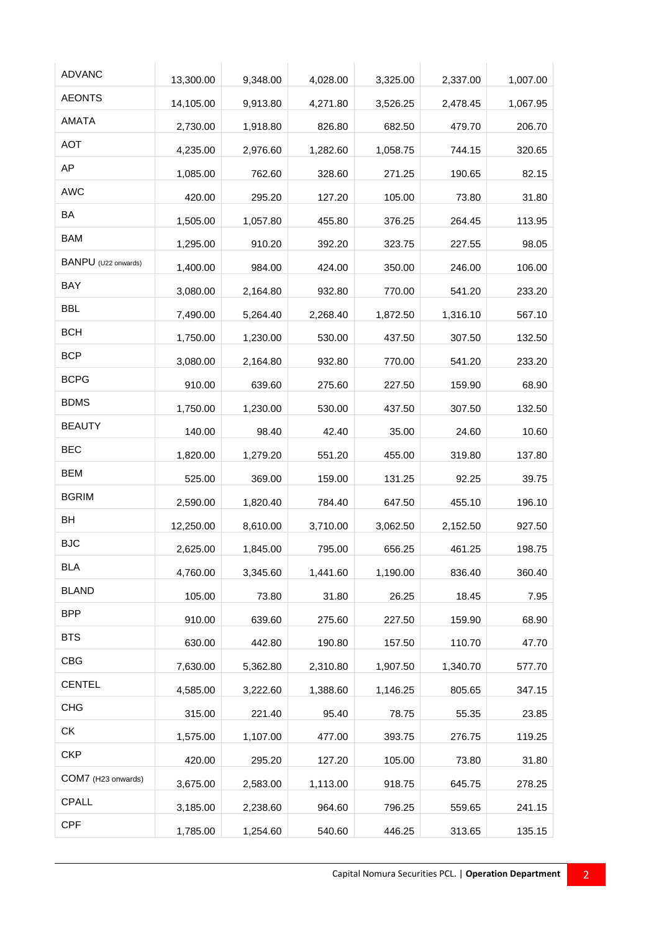| <b>ADVANC</b>       | 13,300.00 | 9,348.00 | 4,028.00 | 3,325.00 | 2,337.00 | 1,007.00 |
|---------------------|-----------|----------|----------|----------|----------|----------|
| <b>AEONTS</b>       | 14,105.00 | 9,913.80 | 4,271.80 | 3,526.25 | 2,478.45 | 1,067.95 |
| AMATA               | 2,730.00  | 1,918.80 | 826.80   | 682.50   | 479.70   | 206.70   |
| <b>AOT</b>          | 4,235.00  | 2,976.60 | 1,282.60 | 1,058.75 | 744.15   | 320.65   |
| AP                  | 1,085.00  | 762.60   | 328.60   | 271.25   | 190.65   | 82.15    |
| <b>AWC</b>          | 420.00    | 295.20   | 127.20   | 105.00   | 73.80    | 31.80    |
| BA                  | 1,505.00  | 1,057.80 | 455.80   | 376.25   | 264.45   | 113.95   |
| <b>BAM</b>          | 1,295.00  | 910.20   | 392.20   | 323.75   | 227.55   | 98.05    |
| BANPU (U22 onwards) | 1,400.00  | 984.00   | 424.00   | 350.00   | 246.00   | 106.00   |
| BAY                 | 3,080.00  | 2,164.80 | 932.80   | 770.00   | 541.20   | 233.20   |
| <b>BBL</b>          | 7,490.00  | 5,264.40 | 2,268.40 | 1,872.50 | 1,316.10 | 567.10   |
| <b>BCH</b>          | 1,750.00  | 1,230.00 | 530.00   | 437.50   | 307.50   | 132.50   |
| <b>BCP</b>          | 3,080.00  | 2,164.80 | 932.80   | 770.00   | 541.20   | 233.20   |
| <b>BCPG</b>         | 910.00    | 639.60   | 275.60   | 227.50   | 159.90   | 68.90    |
| <b>BDMS</b>         | 1,750.00  | 1,230.00 | 530.00   | 437.50   | 307.50   | 132.50   |
| <b>BEAUTY</b>       | 140.00    | 98.40    | 42.40    | 35.00    | 24.60    | 10.60    |
| <b>BEC</b>          | 1,820.00  | 1,279.20 | 551.20   | 455.00   | 319.80   | 137.80   |
| <b>BEM</b>          | 525.00    | 369.00   | 159.00   | 131.25   | 92.25    | 39.75    |
| <b>BGRIM</b>        | 2,590.00  | 1,820.40 | 784.40   | 647.50   | 455.10   | 196.10   |
| BH                  | 12,250.00 | 8,610.00 | 3,710.00 | 3,062.50 | 2,152.50 | 927.50   |
| <b>BJC</b>          | 2,625.00  | 1,845.00 | 795.00   | 656.25   | 461.25   | 198.75   |
| <b>BLA</b>          | 4,760.00  | 3,345.60 | 1,441.60 | 1,190.00 | 836.40   | 360.40   |
| <b>BLAND</b>        | 105.00    | 73.80    | 31.80    | 26.25    | 18.45    | 7.95     |
| <b>BPP</b>          | 910.00    | 639.60   | 275.60   | 227.50   | 159.90   | 68.90    |
| <b>BTS</b>          | 630.00    | 442.80   | 190.80   | 157.50   | 110.70   | 47.70    |
| <b>CBG</b>          | 7,630.00  | 5,362.80 | 2,310.80 | 1,907.50 | 1,340.70 | 577.70   |
| <b>CENTEL</b>       | 4,585.00  | 3,222.60 | 1,388.60 | 1,146.25 | 805.65   | 347.15   |
| <b>CHG</b>          | 315.00    | 221.40   | 95.40    | 78.75    | 55.35    | 23.85    |
| СK                  | 1,575.00  | 1,107.00 | 477.00   | 393.75   | 276.75   | 119.25   |
| <b>CKP</b>          | 420.00    | 295.20   | 127.20   | 105.00   | 73.80    | 31.80    |
| COM7 (H23 onwards)  | 3,675.00  | 2,583.00 | 1,113.00 | 918.75   | 645.75   | 278.25   |
| CPALL               | 3,185.00  | 2,238.60 | 964.60   | 796.25   | 559.65   | 241.15   |
| <b>CPF</b>          | 1,785.00  | 1,254.60 | 540.60   | 446.25   | 313.65   | 135.15   |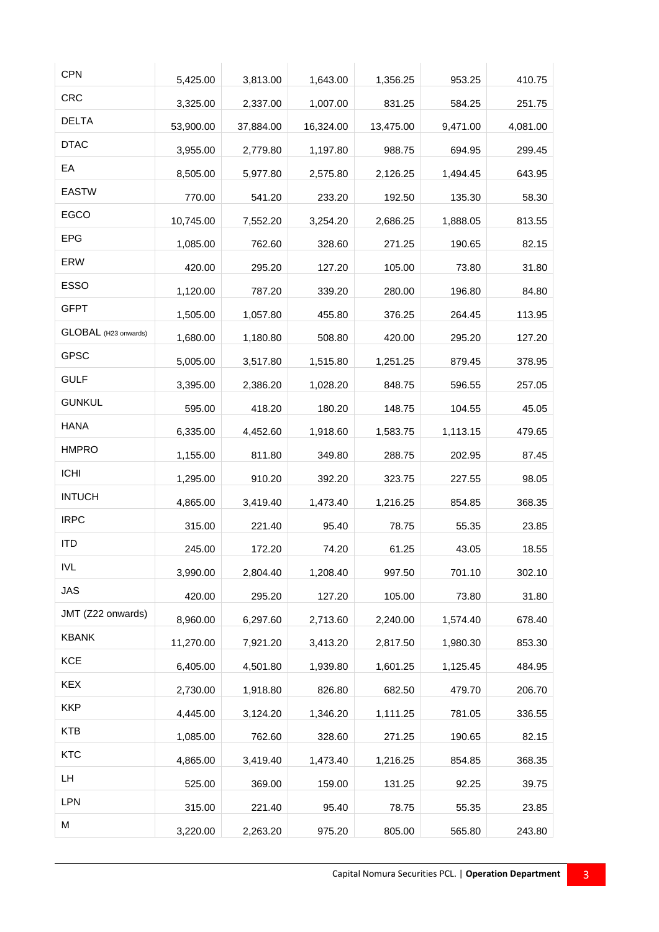| <b>CPN</b>           | 5,425.00  | 3,813.00  | 1,643.00  | 1,356.25  | 953.25   | 410.75   |
|----------------------|-----------|-----------|-----------|-----------|----------|----------|
| <b>CRC</b>           | 3,325.00  | 2,337.00  | 1,007.00  | 831.25    | 584.25   | 251.75   |
| <b>DELTA</b>         | 53,900.00 | 37,884.00 | 16,324.00 | 13,475.00 | 9,471.00 | 4,081.00 |
| <b>DTAC</b>          | 3,955.00  | 2,779.80  | 1,197.80  | 988.75    | 694.95   | 299.45   |
| EA                   | 8,505.00  | 5,977.80  | 2,575.80  | 2,126.25  | 1,494.45 | 643.95   |
| <b>EASTW</b>         | 770.00    | 541.20    | 233.20    | 192.50    | 135.30   | 58.30    |
| <b>EGCO</b>          | 10,745.00 | 7,552.20  | 3,254.20  | 2,686.25  | 1,888.05 | 813.55   |
| <b>EPG</b>           | 1,085.00  | 762.60    | 328.60    | 271.25    | 190.65   | 82.15    |
| ERW                  | 420.00    | 295.20    | 127.20    | 105.00    | 73.80    | 31.80    |
| <b>ESSO</b>          | 1,120.00  | 787.20    | 339.20    | 280.00    | 196.80   | 84.80    |
| <b>GFPT</b>          | 1,505.00  | 1,057.80  | 455.80    | 376.25    | 264.45   | 113.95   |
| GLOBAL (H23 onwards) | 1,680.00  | 1,180.80  | 508.80    | 420.00    | 295.20   | 127.20   |
| <b>GPSC</b>          | 5,005.00  | 3,517.80  | 1,515.80  | 1,251.25  | 879.45   | 378.95   |
| <b>GULF</b>          | 3,395.00  | 2,386.20  | 1,028.20  | 848.75    | 596.55   | 257.05   |
| <b>GUNKUL</b>        | 595.00    | 418.20    | 180.20    | 148.75    | 104.55   | 45.05    |
| <b>HANA</b>          | 6,335.00  | 4,452.60  | 1,918.60  | 1,583.75  | 1,113.15 | 479.65   |
| <b>HMPRO</b>         | 1,155.00  | 811.80    | 349.80    | 288.75    | 202.95   | 87.45    |
| <b>ICHI</b>          | 1,295.00  | 910.20    | 392.20    | 323.75    | 227.55   | 98.05    |
| <b>INTUCH</b>        | 4,865.00  | 3,419.40  | 1,473.40  | 1,216.25  | 854.85   | 368.35   |
| <b>IRPC</b>          | 315.00    | 221.40    | 95.40     | 78.75     | 55.35    | 23.85    |
| <b>ITD</b>           | 245.00    | 172.20    | 74.20     | 61.25     | 43.05    | 18.55    |
| <b>IVL</b>           | 3,990.00  | 2,804.40  | 1,208.40  | 997.50    | 701.10   | 302.10   |
| <b>JAS</b>           | 420.00    | 295.20    | 127.20    | 105.00    | 73.80    | 31.80    |
| JMT (Z22 onwards)    | 8,960.00  | 6,297.60  | 2,713.60  | 2,240.00  | 1,574.40 | 678.40   |
| <b>KBANK</b>         | 11,270.00 | 7,921.20  | 3,413.20  | 2,817.50  | 1,980.30 | 853.30   |
| <b>KCE</b>           | 6,405.00  | 4,501.80  | 1,939.80  | 1,601.25  | 1,125.45 | 484.95   |
| <b>KEX</b>           | 2,730.00  | 1,918.80  | 826.80    | 682.50    | 479.70   | 206.70   |
| <b>KKP</b>           | 4,445.00  | 3,124.20  | 1,346.20  | 1,111.25  | 781.05   | 336.55   |
| <b>KTB</b>           | 1,085.00  | 762.60    | 328.60    | 271.25    | 190.65   | 82.15    |
| <b>KTC</b>           | 4,865.00  | 3,419.40  | 1,473.40  | 1,216.25  | 854.85   | 368.35   |
| LH                   | 525.00    | 369.00    | 159.00    | 131.25    | 92.25    | 39.75    |
| LPN                  | 315.00    | 221.40    | 95.40     | 78.75     | 55.35    | 23.85    |
| М                    | 3,220.00  | 2,263.20  | 975.20    | 805.00    | 565.80   | 243.80   |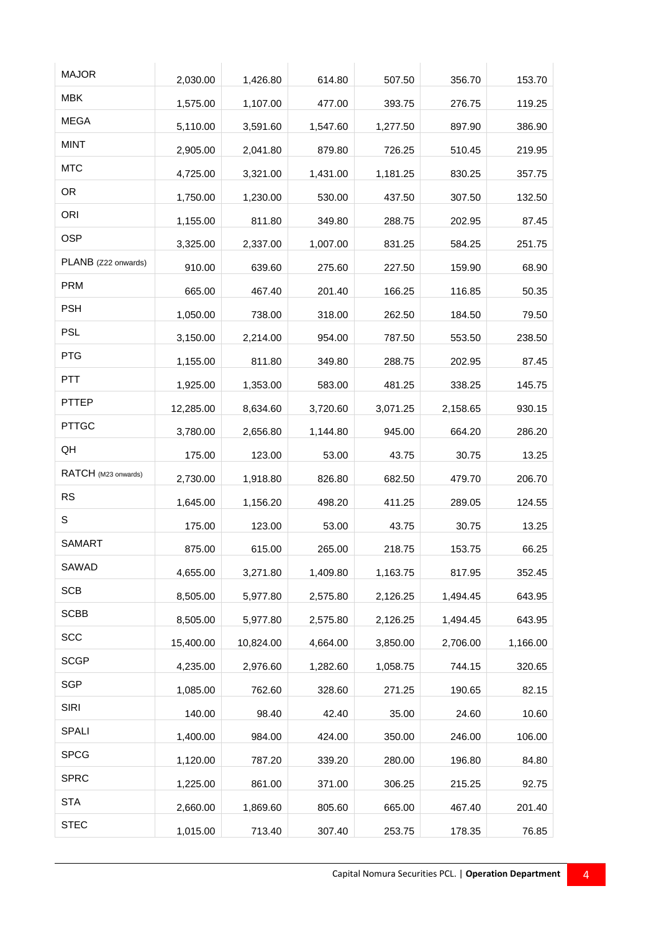| <b>MAJOR</b>        | 2,030.00  | 1,426.80  | 614.80   | 507.50   | 356.70   | 153.70   |
|---------------------|-----------|-----------|----------|----------|----------|----------|
| <b>MBK</b>          | 1,575.00  | 1,107.00  | 477.00   | 393.75   | 276.75   | 119.25   |
| <b>MEGA</b>         | 5,110.00  | 3,591.60  | 1,547.60 | 1,277.50 | 897.90   | 386.90   |
| <b>MINT</b>         | 2,905.00  | 2,041.80  | 879.80   | 726.25   | 510.45   | 219.95   |
| <b>MTC</b>          | 4,725.00  | 3,321.00  | 1,431.00 | 1,181.25 | 830.25   | 357.75   |
| <b>OR</b>           | 1,750.00  | 1,230.00  | 530.00   | 437.50   | 307.50   | 132.50   |
| ORI                 | 1,155.00  | 811.80    | 349.80   | 288.75   | 202.95   | 87.45    |
| <b>OSP</b>          | 3,325.00  | 2,337.00  | 1,007.00 | 831.25   | 584.25   | 251.75   |
| PLANB (Z22 onwards) | 910.00    | 639.60    | 275.60   | 227.50   | 159.90   | 68.90    |
| <b>PRM</b>          | 665.00    | 467.40    | 201.40   | 166.25   | 116.85   | 50.35    |
| <b>PSH</b>          | 1,050.00  | 738.00    | 318.00   | 262.50   | 184.50   | 79.50    |
| <b>PSL</b>          | 3,150.00  | 2,214.00  | 954.00   | 787.50   | 553.50   | 238.50   |
| <b>PTG</b>          | 1,155.00  | 811.80    | 349.80   | 288.75   | 202.95   | 87.45    |
| <b>PTT</b>          | 1,925.00  | 1,353.00  | 583.00   | 481.25   | 338.25   | 145.75   |
| PTTEP               | 12,285.00 | 8,634.60  | 3,720.60 | 3,071.25 | 2,158.65 | 930.15   |
| <b>PTTGC</b>        | 3,780.00  | 2,656.80  | 1,144.80 | 945.00   | 664.20   | 286.20   |
| QH                  | 175.00    | 123.00    | 53.00    | 43.75    | 30.75    | 13.25    |
| RATCH (M23 onwards) | 2,730.00  | 1,918.80  | 826.80   | 682.50   | 479.70   | 206.70   |
| <b>RS</b>           | 1,645.00  | 1,156.20  | 498.20   | 411.25   | 289.05   | 124.55   |
| S                   | 175.00    | 123.00    | 53.00    | 43.75    | 30.75    | 13.25    |
| <b>SAMART</b>       | 875.00    | 615.00    | 265.00   | 218.75   | 153.75   | 66.25    |
| SAWAD               | 4,655.00  | 3,271.80  | 1,409.80 | 1,163.75 | 817.95   | 352.45   |
| <b>SCB</b>          | 8,505.00  | 5,977.80  | 2,575.80 | 2,126.25 | 1,494.45 | 643.95   |
| <b>SCBB</b>         | 8,505.00  | 5,977.80  | 2,575.80 | 2,126.25 | 1,494.45 | 643.95   |
| SCC                 | 15,400.00 | 10,824.00 | 4,664.00 | 3,850.00 | 2,706.00 | 1,166.00 |
| <b>SCGP</b>         | 4,235.00  | 2,976.60  | 1,282.60 | 1,058.75 | 744.15   | 320.65   |
| <b>SGP</b>          | 1,085.00  | 762.60    | 328.60   | 271.25   | 190.65   | 82.15    |
| <b>SIRI</b>         | 140.00    | 98.40     | 42.40    | 35.00    | 24.60    | 10.60    |
| <b>SPALI</b>        | 1,400.00  | 984.00    | 424.00   | 350.00   | 246.00   | 106.00   |
| <b>SPCG</b>         | 1,120.00  | 787.20    | 339.20   | 280.00   | 196.80   | 84.80    |
| <b>SPRC</b>         | 1,225.00  | 861.00    | 371.00   | 306.25   | 215.25   | 92.75    |
| <b>STA</b>          | 2,660.00  | 1,869.60  | 805.60   | 665.00   | 467.40   | 201.40   |
| <b>STEC</b>         | 1,015.00  | 713.40    | 307.40   | 253.75   | 178.35   | 76.85    |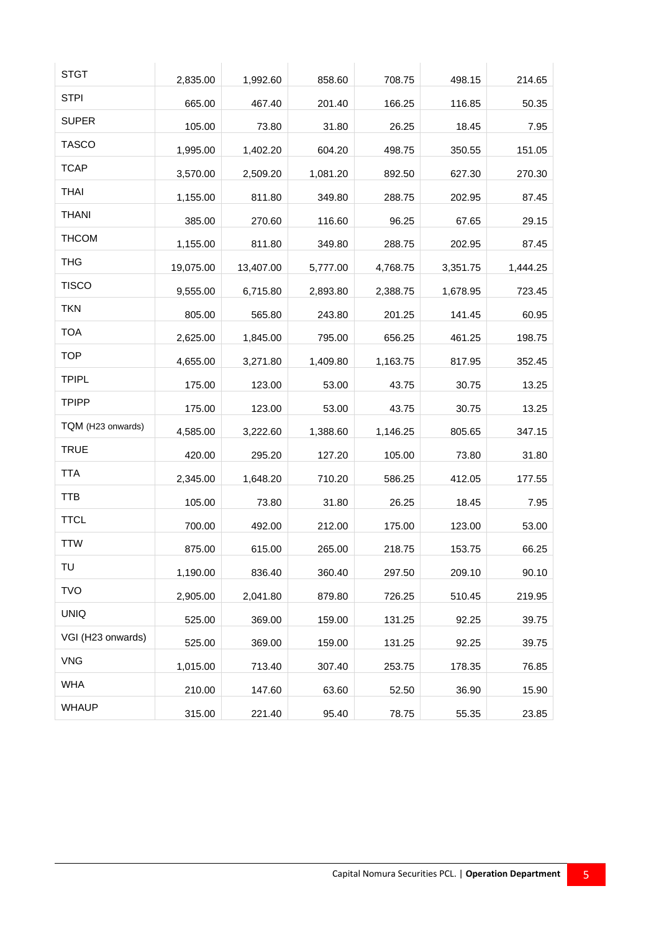| <b>STGT</b>       | 2,835.00  | 1,992.60  | 858.60   | 708.75   | 498.15   | 214.65   |
|-------------------|-----------|-----------|----------|----------|----------|----------|
| <b>STPI</b>       | 665.00    | 467.40    | 201.40   | 166.25   | 116.85   | 50.35    |
| <b>SUPER</b>      | 105.00    | 73.80     | 31.80    | 26.25    | 18.45    | 7.95     |
| <b>TASCO</b>      | 1,995.00  | 1,402.20  | 604.20   | 498.75   | 350.55   | 151.05   |
| <b>TCAP</b>       | 3,570.00  | 2,509.20  | 1,081.20 | 892.50   | 627.30   | 270.30   |
| <b>THAI</b>       | 1,155.00  | 811.80    | 349.80   | 288.75   | 202.95   | 87.45    |
| <b>THANI</b>      | 385.00    | 270.60    | 116.60   | 96.25    | 67.65    | 29.15    |
| <b>THCOM</b>      | 1,155.00  | 811.80    | 349.80   | 288.75   | 202.95   | 87.45    |
| <b>THG</b>        | 19,075.00 | 13,407.00 | 5,777.00 | 4,768.75 | 3,351.75 | 1,444.25 |
| <b>TISCO</b>      | 9,555.00  | 6,715.80  | 2,893.80 | 2,388.75 | 1,678.95 | 723.45   |
| <b>TKN</b>        | 805.00    | 565.80    | 243.80   | 201.25   | 141.45   | 60.95    |
| <b>TOA</b>        | 2,625.00  | 1,845.00  | 795.00   | 656.25   | 461.25   | 198.75   |
| <b>TOP</b>        | 4,655.00  | 3,271.80  | 1,409.80 | 1,163.75 | 817.95   | 352.45   |
| <b>TPIPL</b>      | 175.00    | 123.00    | 53.00    | 43.75    | 30.75    | 13.25    |
| <b>TPIPP</b>      | 175.00    | 123.00    | 53.00    | 43.75    | 30.75    | 13.25    |
| TQM (H23 onwards) | 4,585.00  | 3,222.60  | 1,388.60 | 1,146.25 | 805.65   | 347.15   |
| <b>TRUE</b>       | 420.00    | 295.20    | 127.20   | 105.00   | 73.80    | 31.80    |
| <b>TTA</b>        | 2,345.00  | 1,648.20  | 710.20   | 586.25   | 412.05   | 177.55   |
| <b>TTB</b>        | 105.00    | 73.80     | 31.80    | 26.25    | 18.45    | 7.95     |
| <b>TTCL</b>       | 700.00    | 492.00    | 212.00   | 175.00   | 123.00   | 53.00    |
| <b>TTW</b>        | 875.00    | 615.00    | 265.00   | 218.75   | 153.75   | 66.25    |
| TU                | 1,190.00  | 836.40    | 360.40   | 297.50   | 209.10   | 90.10    |
| <b>TVO</b>        | 2,905.00  | 2,041.80  | 879.80   | 726.25   | 510.45   | 219.95   |
| <b>UNIQ</b>       | 525.00    | 369.00    | 159.00   | 131.25   | 92.25    | 39.75    |
| VGI (H23 onwards) | 525.00    | 369.00    | 159.00   | 131.25   | 92.25    | 39.75    |
| <b>VNG</b>        | 1,015.00  | 713.40    | 307.40   | 253.75   | 178.35   | 76.85    |
| <b>WHA</b>        | 210.00    | 147.60    | 63.60    | 52.50    | 36.90    | 15.90    |
| <b>WHAUP</b>      | 315.00    | 221.40    | 95.40    | 78.75    | 55.35    | 23.85    |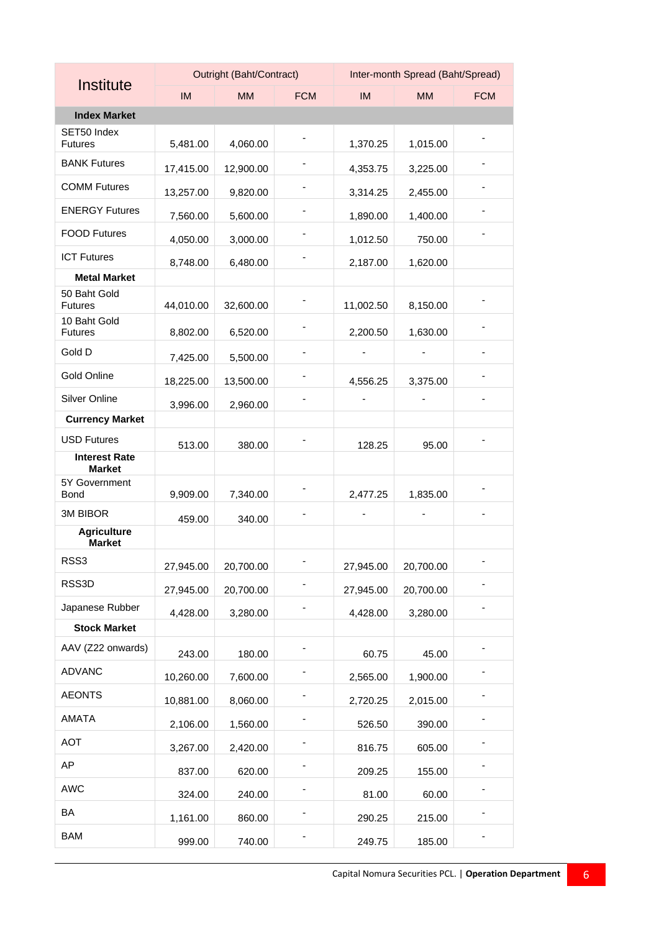|                                       |           | Outright (Baht/Contract) |            | Inter-month Spread (Baht/Spread) |           |            |
|---------------------------------------|-----------|--------------------------|------------|----------------------------------|-----------|------------|
| Institute                             | <b>IM</b> | <b>MM</b>                | <b>FCM</b> | <b>IM</b>                        | <b>MM</b> | <b>FCM</b> |
| <b>Index Market</b>                   |           |                          |            |                                  |           |            |
| SET50 Index<br><b>Futures</b>         | 5,481.00  | 4,060.00                 |            | 1,370.25                         | 1,015.00  |            |
| <b>BANK Futures</b>                   | 17,415.00 | 12,900.00                |            | 4,353.75                         | 3,225.00  |            |
| <b>COMM Futures</b>                   | 13,257.00 | 9,820.00                 |            | 3,314.25                         | 2,455.00  |            |
| <b>ENERGY Futures</b>                 | 7,560.00  | 5,600.00                 |            | 1,890.00                         | 1,400.00  |            |
| <b>FOOD Futures</b>                   | 4,050.00  | 3,000.00                 |            | 1,012.50                         | 750.00    |            |
| <b>ICT Futures</b>                    | 8,748.00  | 6,480.00                 |            | 2,187.00                         | 1,620.00  |            |
| <b>Metal Market</b>                   |           |                          |            |                                  |           |            |
| 50 Baht Gold<br><b>Futures</b>        | 44,010.00 | 32,600.00                |            | 11,002.50                        | 8,150.00  |            |
| 10 Baht Gold<br><b>Futures</b>        | 8,802.00  | 6,520.00                 |            | 2,200.50                         | 1,630.00  |            |
| Gold D                                | 7,425.00  | 5,500.00                 |            |                                  |           |            |
| Gold Online                           | 18,225.00 | 13,500.00                |            | 4,556.25                         | 3,375.00  |            |
| Silver Online                         | 3,996.00  | 2,960.00                 |            |                                  |           |            |
| <b>Currency Market</b>                |           |                          |            |                                  |           |            |
| <b>USD Futures</b>                    | 513.00    | 380.00                   |            | 128.25                           | 95.00     |            |
| <b>Interest Rate</b><br><b>Market</b> |           |                          |            |                                  |           |            |
| 5Y Government<br><b>Bond</b>          | 9,909.00  | 7,340.00                 |            | 2,477.25                         | 1,835.00  |            |
| 3M BIBOR                              | 459.00    | 340.00                   |            |                                  |           |            |
| <b>Agriculture</b><br><b>Market</b>   |           |                          |            |                                  |           |            |
| RSS3                                  | 27,945.00 | 20,700.00                |            | 27,945.00                        | 20,700.00 |            |
| RSS3D                                 | 27,945.00 | 20,700.00                |            | 27,945.00                        | 20,700.00 |            |
| Japanese Rubber                       | 4,428.00  | 3,280.00                 |            | 4,428.00                         | 3,280.00  |            |
| <b>Stock Market</b>                   |           |                          |            |                                  |           |            |
| AAV (Z22 onwards)                     | 243.00    | 180.00                   |            | 60.75                            | 45.00     |            |
| <b>ADVANC</b>                         | 10,260.00 | 7,600.00                 |            | 2,565.00                         | 1,900.00  |            |
| <b>AEONTS</b>                         | 10,881.00 | 8,060.00                 |            | 2,720.25                         | 2,015.00  |            |
| AMATA                                 | 2,106.00  | 1,560.00                 |            | 526.50                           | 390.00    |            |
| <b>AOT</b>                            | 3,267.00  | 2,420.00                 |            | 816.75                           | 605.00    |            |
| AP                                    | 837.00    | 620.00                   |            | 209.25                           | 155.00    |            |
| <b>AWC</b>                            | 324.00    | 240.00                   |            | 81.00                            | 60.00     |            |
| BA                                    | 1,161.00  | 860.00                   |            | 290.25                           | 215.00    |            |
| <b>BAM</b>                            | 999.00    | 740.00                   |            | 249.75                           | 185.00    |            |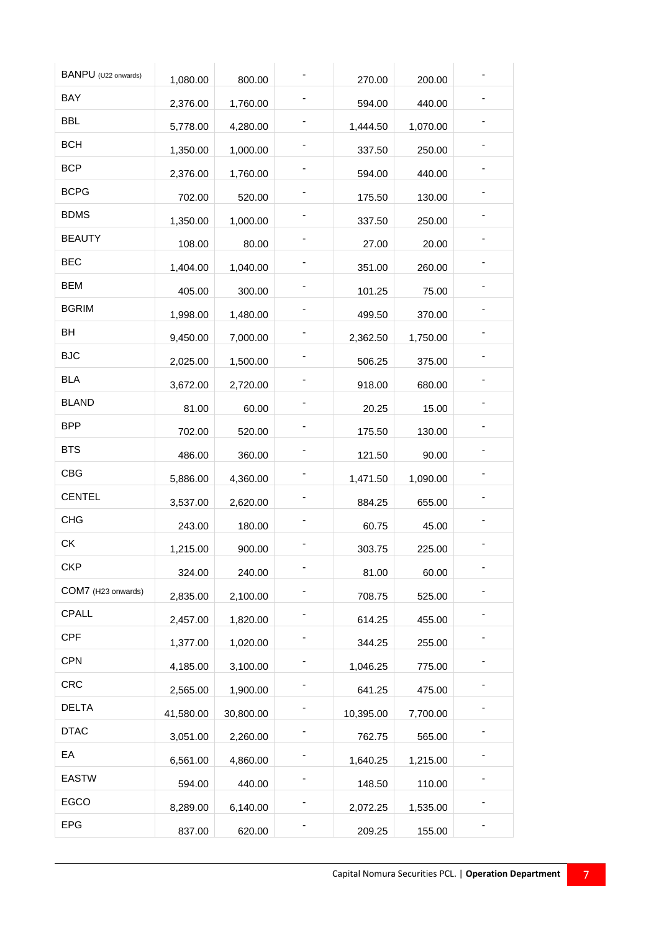| BANPU (U22 onwards) |           |           |           |          |  |
|---------------------|-----------|-----------|-----------|----------|--|
| BAY                 | 1,080.00  | 800.00    | 270.00    | 200.00   |  |
|                     | 2,376.00  | 1,760.00  | 594.00    | 440.00   |  |
| <b>BBL</b>          | 5,778.00  | 4,280.00  | 1,444.50  | 1,070.00 |  |
| <b>BCH</b>          | 1,350.00  | 1,000.00  | 337.50    | 250.00   |  |
| <b>BCP</b>          | 2,376.00  | 1,760.00  | 594.00    | 440.00   |  |
| <b>BCPG</b>         | 702.00    | 520.00    | 175.50    | 130.00   |  |
| <b>BDMS</b>         | 1,350.00  | 1,000.00  | 337.50    | 250.00   |  |
| <b>BEAUTY</b>       | 108.00    | 80.00     | 27.00     | 20.00    |  |
| <b>BEC</b>          | 1,404.00  | 1,040.00  | 351.00    | 260.00   |  |
| <b>BEM</b>          | 405.00    | 300.00    | 101.25    | 75.00    |  |
| <b>BGRIM</b>        | 1,998.00  | 1,480.00  | 499.50    | 370.00   |  |
| BH                  | 9,450.00  | 7,000.00  | 2,362.50  | 1,750.00 |  |
| <b>BJC</b>          | 2,025.00  | 1,500.00  | 506.25    | 375.00   |  |
| <b>BLA</b>          | 3,672.00  | 2,720.00  | 918.00    | 680.00   |  |
| <b>BLAND</b>        | 81.00     | 60.00     | 20.25     | 15.00    |  |
| <b>BPP</b>          | 702.00    | 520.00    | 175.50    | 130.00   |  |
| <b>BTS</b>          | 486.00    | 360.00    | 121.50    | 90.00    |  |
| <b>CBG</b>          | 5,886.00  | 4,360.00  | 1,471.50  | 1,090.00 |  |
| <b>CENTEL</b>       |           |           |           | 655.00   |  |
| <b>CHG</b>          | 3,537.00  | 2,620.00  | 884.25    |          |  |
| СK                  | 243.00    | 180.00    | 60.75     | 45.00    |  |
| <b>CKP</b>          | 1,215.00  | 900.00    | 303.75    | 225.00   |  |
| COM7 (H23 onwards)  | 324.00    | 240.00    | 81.00     | 60.00    |  |
|                     | 2,835.00  | 2,100.00  | 708.75    | 525.00   |  |
| CPALL               | 2,457.00  | 1,820.00  | 614.25    | 455.00   |  |
| <b>CPF</b>          | 1,377.00  | 1,020.00  | 344.25    | 255.00   |  |
| <b>CPN</b>          | 4,185.00  | 3,100.00  | 1,046.25  | 775.00   |  |
| <b>CRC</b>          | 2,565.00  | 1,900.00  | 641.25    | 475.00   |  |
| <b>DELTA</b>        | 41,580.00 | 30,800.00 | 10,395.00 | 7,700.00 |  |
| <b>DTAC</b>         | 3,051.00  | 2,260.00  | 762.75    | 565.00   |  |
| EA                  | 6,561.00  | 4,860.00  | 1,640.25  | 1,215.00 |  |
| <b>EASTW</b>        | 594.00    | 440.00    | 148.50    | 110.00   |  |
| EGCO                | 8,289.00  | 6,140.00  | 2,072.25  | 1,535.00 |  |
| <b>EPG</b>          | 837.00    | 620.00    | 209.25    | 155.00   |  |
|                     |           |           |           |          |  |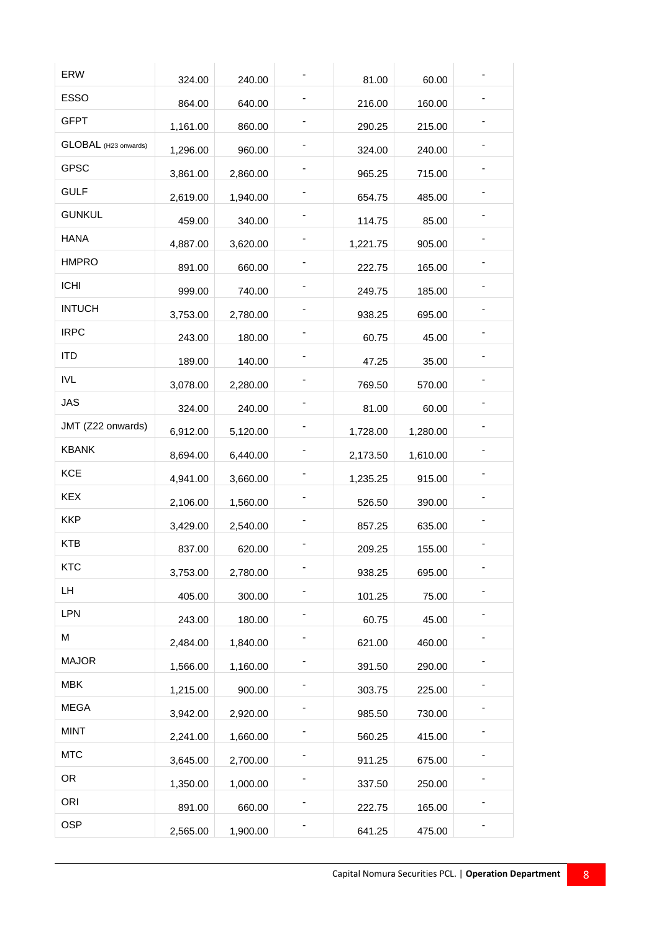| ERW                  | 324.00   | 240.00   | 81.00    | 60.00    |  |
|----------------------|----------|----------|----------|----------|--|
| <b>ESSO</b>          | 864.00   | 640.00   | 216.00   | 160.00   |  |
| <b>GFPT</b>          | 1,161.00 | 860.00   | 290.25   | 215.00   |  |
| GLOBAL (H23 onwards) | 1,296.00 | 960.00   | 324.00   | 240.00   |  |
| <b>GPSC</b>          | 3,861.00 | 2,860.00 | 965.25   | 715.00   |  |
| <b>GULF</b>          | 2,619.00 | 1,940.00 | 654.75   | 485.00   |  |
| <b>GUNKUL</b>        | 459.00   | 340.00   | 114.75   | 85.00    |  |
| <b>HANA</b>          | 4,887.00 | 3,620.00 | 1,221.75 | 905.00   |  |
| <b>HMPRO</b>         | 891.00   | 660.00   | 222.75   | 165.00   |  |
| <b>ICHI</b>          | 999.00   | 740.00   | 249.75   | 185.00   |  |
| <b>INTUCH</b>        | 3,753.00 | 2,780.00 | 938.25   | 695.00   |  |
| <b>IRPC</b>          | 243.00   | 180.00   | 60.75    | 45.00    |  |
| <b>ITD</b>           | 189.00   | 140.00   | 47.25    | 35.00    |  |
| <b>IVL</b>           | 3,078.00 | 2,280.00 | 769.50   | 570.00   |  |
| <b>JAS</b>           | 324.00   | 240.00   | 81.00    | 60.00    |  |
| JMT (Z22 onwards)    | 6,912.00 | 5,120.00 | 1,728.00 | 1,280.00 |  |
| <b>KBANK</b>         | 8,694.00 | 6,440.00 | 2,173.50 | 1,610.00 |  |
| <b>KCE</b>           | 4,941.00 | 3,660.00 | 1,235.25 | 915.00   |  |
| <b>KEX</b>           | 2,106.00 | 1,560.00 | 526.50   | 390.00   |  |
| <b>KKP</b>           | 3,429.00 | 2,540.00 | 857.25   | 635.00   |  |
| <b>KTB</b>           | 837.00   | 620.00   | 209.25   | 155.00   |  |
| <b>KTC</b>           | 3,753.00 | 2,780.00 | 938.25   | 695.00   |  |
| LH.                  | 405.00   | 300.00   | 101.25   | 75.00    |  |
| LPN                  | 243.00   | 180.00   | 60.75    | 45.00    |  |
| М                    | 2,484.00 | 1,840.00 | 621.00   | 460.00   |  |
| <b>MAJOR</b>         | 1,566.00 | 1,160.00 | 391.50   | 290.00   |  |
| <b>MBK</b>           | 1,215.00 | 900.00   | 303.75   | 225.00   |  |
| <b>MEGA</b>          | 3,942.00 | 2,920.00 | 985.50   | 730.00   |  |
| <b>MINT</b>          | 2,241.00 | 1,660.00 | 560.25   | 415.00   |  |
| <b>MTC</b>           | 3,645.00 | 2,700.00 | 911.25   | 675.00   |  |
| <b>OR</b>            | 1,350.00 | 1,000.00 | 337.50   | 250.00   |  |
| ORI                  | 891.00   | 660.00   | 222.75   | 165.00   |  |
| <b>OSP</b>           | 2,565.00 | 1,900.00 | 641.25   | 475.00   |  |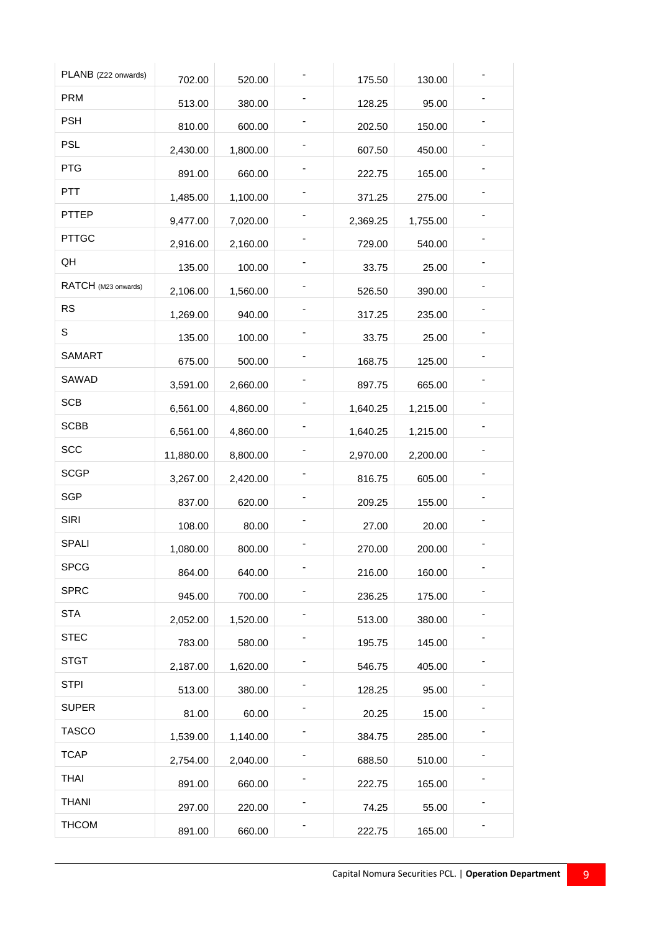| PLANB (Z22 onwards) | 702.00    | 520.00   | 175.50   | 130.00   |  |
|---------------------|-----------|----------|----------|----------|--|
| <b>PRM</b>          | 513.00    | 380.00   | 128.25   | 95.00    |  |
| <b>PSH</b>          | 810.00    | 600.00   | 202.50   | 150.00   |  |
| <b>PSL</b>          | 2,430.00  | 1,800.00 | 607.50   | 450.00   |  |
| PTG                 | 891.00    | 660.00   | 222.75   | 165.00   |  |
| <b>PTT</b>          | 1,485.00  | 1,100.00 | 371.25   | 275.00   |  |
| PTTEP               | 9,477.00  | 7,020.00 | 2,369.25 | 1,755.00 |  |
| <b>PTTGC</b>        | 2,916.00  | 2,160.00 | 729.00   | 540.00   |  |
| QH                  | 135.00    | 100.00   | 33.75    | 25.00    |  |
| RATCH (M23 onwards) | 2,106.00  | 1,560.00 | 526.50   | 390.00   |  |
| <b>RS</b>           | 1,269.00  | 940.00   | 317.25   | 235.00   |  |
| S                   | 135.00    | 100.00   | 33.75    | 25.00    |  |
| <b>SAMART</b>       | 675.00    | 500.00   | 168.75   | 125.00   |  |
| SAWAD               | 3,591.00  | 2,660.00 | 897.75   | 665.00   |  |
| <b>SCB</b>          | 6,561.00  | 4,860.00 | 1,640.25 | 1,215.00 |  |
| <b>SCBB</b>         | 6,561.00  | 4,860.00 | 1,640.25 | 1,215.00 |  |
| <b>SCC</b>          | 11,880.00 | 8,800.00 | 2,970.00 | 2,200.00 |  |
| <b>SCGP</b>         | 3,267.00  | 2,420.00 | 816.75   | 605.00   |  |
| <b>SGP</b>          | 837.00    | 620.00   | 209.25   | 155.00   |  |
| <b>SIRI</b>         | 108.00    | 80.00    | 27.00    | 20.00    |  |
| <b>SPALI</b>        | 1,080.00  | 800.00   | 270.00   | 200.00   |  |
| <b>SPCG</b>         | 864.00    | 640.00   | 216.00   | 160.00   |  |
| <b>SPRC</b>         | 945.00    | 700.00   | 236.25   | 175.00   |  |
| <b>STA</b>          | 2,052.00  | 1,520.00 | 513.00   | 380.00   |  |
| <b>STEC</b>         | 783.00    | 580.00   | 195.75   | 145.00   |  |
| <b>STGT</b>         | 2,187.00  | 1,620.00 | 546.75   | 405.00   |  |
| <b>STPI</b>         | 513.00    | 380.00   | 128.25   | 95.00    |  |
| <b>SUPER</b>        | 81.00     | 60.00    | 20.25    | 15.00    |  |
| <b>TASCO</b>        | 1,539.00  | 1,140.00 | 384.75   | 285.00   |  |
| <b>TCAP</b>         | 2,754.00  | 2,040.00 | 688.50   | 510.00   |  |
| <b>THAI</b>         | 891.00    | 660.00   | 222.75   | 165.00   |  |
| <b>THANI</b>        | 297.00    | 220.00   | 74.25    | 55.00    |  |
| <b>THCOM</b>        | 891.00    | 660.00   | 222.75   | 165.00   |  |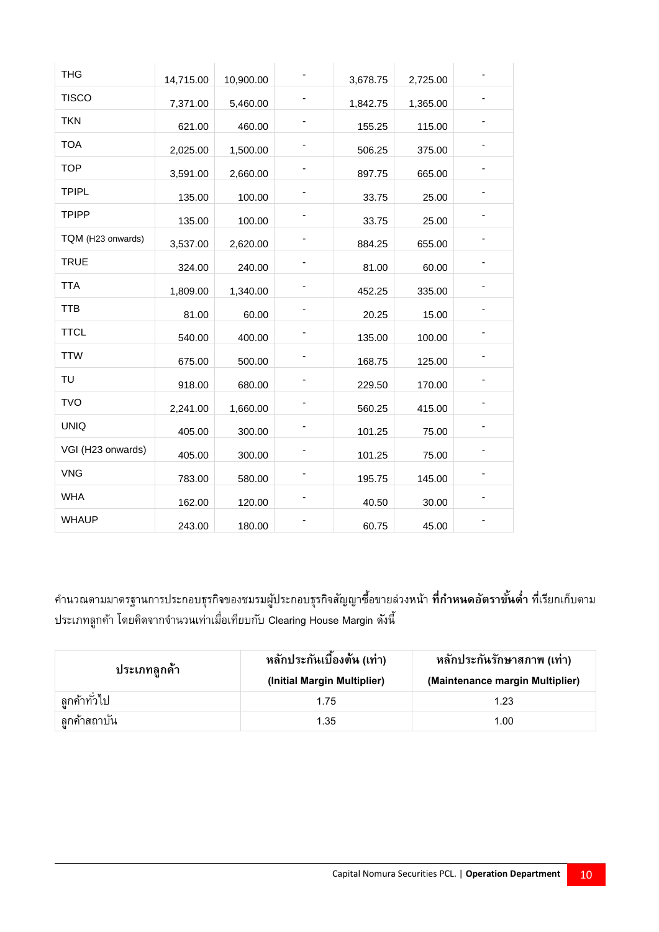| <b>THG</b>        | 14,715.00 | 10,900.00 | 3,678.75 | 2,725.00 |  |
|-------------------|-----------|-----------|----------|----------|--|
| <b>TISCO</b>      | 7,371.00  | 5,460.00  | 1,842.75 | 1,365.00 |  |
| <b>TKN</b>        | 621.00    | 460.00    | 155.25   | 115.00   |  |
| <b>TOA</b>        | 2,025.00  | 1,500.00  | 506.25   | 375.00   |  |
| <b>TOP</b>        | 3,591.00  | 2,660.00  | 897.75   | 665.00   |  |
| <b>TPIPL</b>      | 135.00    | 100.00    | 33.75    | 25.00    |  |
| <b>TPIPP</b>      | 135.00    | 100.00    | 33.75    | 25.00    |  |
| TQM (H23 onwards) | 3,537.00  | 2,620.00  | 884.25   | 655.00   |  |
| <b>TRUE</b>       | 324.00    | 240.00    | 81.00    | 60.00    |  |
| <b>TTA</b>        | 1,809.00  | 1,340.00  | 452.25   | 335.00   |  |
| <b>TTB</b>        | 81.00     | 60.00     | 20.25    | 15.00    |  |
| <b>TTCL</b>       | 540.00    | 400.00    | 135.00   | 100.00   |  |
| <b>TTW</b>        | 675.00    | 500.00    | 168.75   | 125.00   |  |
| TU                | 918.00    | 680.00    | 229.50   | 170.00   |  |
| <b>TVO</b>        | 2,241.00  | 1,660.00  | 560.25   | 415.00   |  |
| <b>UNIQ</b>       | 405.00    | 300.00    | 101.25   | 75.00    |  |
| VGI (H23 onwards) | 405.00    | 300.00    | 101.25   | 75.00    |  |
| <b>VNG</b>        | 783.00    | 580.00    | 195.75   | 145.00   |  |
| <b>WHA</b>        | 162.00    | 120.00    | 40.50    | 30.00    |  |
| <b>WHAUP</b>      | 243.00    | 180.00    | 60.75    | 45.00    |  |

คำนวณตามมาตรฐานการประกอบธุรกิจของชมรมผู้ประกอบธุรกิจสัญญาซื้อขายล่วงหน้า **ที่กำหนดอัตราขั้นต่ำ** ที่เรียกเก็บตาม ประเภทลูกค้า โดยคิดจากจำนวนเท่าเมื่อเทียบกับ Clearing House Margin ดังนี้

| ประเภทลูกค์า | หลักประกันเบื้องต้น (เท่า)<br>(Initial Margin Multiplier) | หลักประกันรักษาสภาพ (เท่า)<br>(Maintenance margin Multiplier) |
|--------------|-----------------------------------------------------------|---------------------------------------------------------------|
| ลกค้าทั่วไป  | 1.75                                                      | 1.23                                                          |
| ลูกค้าสถาบัน | 1.35                                                      | 1.00                                                          |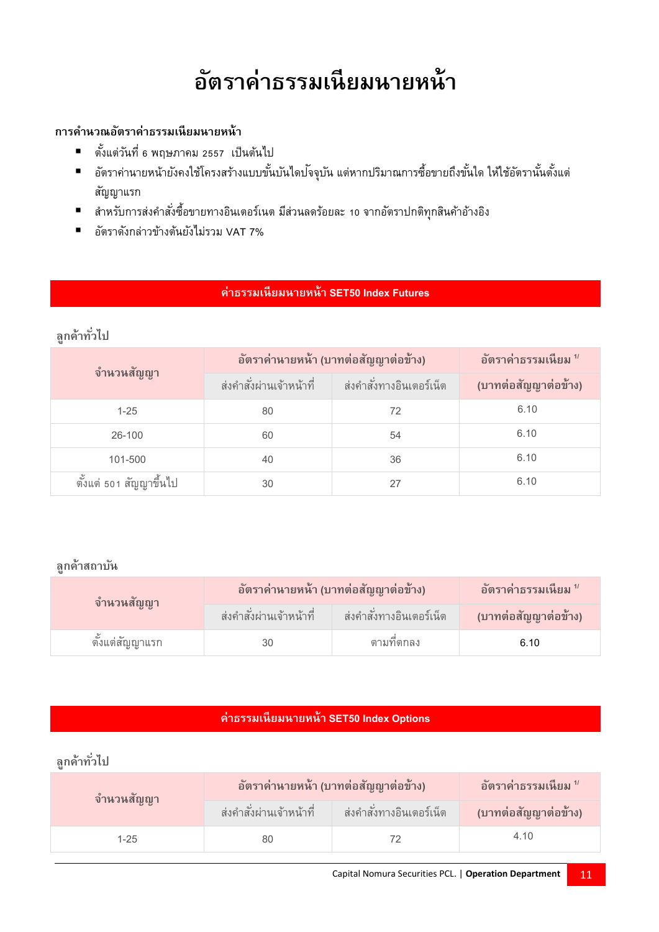#### **อต ั ราค าธรรมเน ี ยมนายหน ้ า ่**

#### **การคา นวณอตัราค่าธรรมเนียมนายหน้า**

- ตั้งแต่วันที่ 6 พฤษภำคม 2557 เป็นต้นไป
- อัตราค่านายหน้ายังคงใช้โครงสร้างแบบขั้นบันไดปจจุบัน แต่หากปริมาณการซื้อขายถึงขั้นใด ให้ใช้อัตรานั้นตั้งแต่ สัญญำแรก
- สำหรับการส่งคำสั่งซื้อขายทางอินเตอร์เนต มีส่วนลดร้อยละ 10 จากอัตราปกติทุกสินค้าอ้างอิง
- อัตรำดังกล่ำวข้ำงต้นยังไม่รวม VAT 7%

#### **ค่าธรรมเนียมนายหน้า SET50 Index Futures**

#### **ลูกค้าทั ่วไป**

| จำนวนสัญญา              | อัตราค่านายหน้า (บาทต่อสัญญาต่อข้าง) | อัตราค่าธรรมเนียม $^{\prime\prime}$ |                      |
|-------------------------|--------------------------------------|-------------------------------------|----------------------|
|                         | ส่งคำสั่งผ่านเจ้าหน้าที่             | ส่งคำสั่งทางอินเตอร์เน็ต            | (บาทต่อสัญญาต่อข้าง) |
| $1 - 25$                | 80                                   | 72                                  | 6.10                 |
| 26-100                  | 60                                   | 54                                  | 6.10                 |
| 101-500                 | 40                                   | 36                                  | 6.10                 |
| ตั้งแต่ 501 สัญญาขึ้นไป | 30                                   | 27                                  | 6.10                 |

#### **ลูกค้าสถาบัน**

| จำนวนสัญญา      | ่อัตราค่านายหน้า (บาทต่อสัญญาต่อข้าง) |                            | ี อัตราค่าธรรมเนียม <sup>1</sup> |
|-----------------|---------------------------------------|----------------------------|----------------------------------|
|                 | ส่งคำสั่งผ่านเจ้าหน้าที่              | ี ส่งคำสั่งทางอินเตอร์เน็ต | (บาทต่อสัญญาต่อข้าง)             |
| ตั้งแต่สัญญาแรก |                                       | ตามที่ตกลง                 | 6.10                             |

#### **ค่าธรรมเนียมนายหน้า SET50 Index Options**

| ี จำนวนสัญญ <u>า</u> | ่อัตราค่านายหน้า (บาทต่อสัญญาต่อข้าง) |                          | ือัตราค่าธรรมเนียม <sup>1/</sup> |
|----------------------|---------------------------------------|--------------------------|----------------------------------|
|                      | ส่งคำสั่งผ่านเจ้าหน้าที่              | ส่งคำสั่งทางอินเตอร์เน็ต | (บาทต่อสัญญาต่อข้าง)             |
| 1-25                 |                                       |                          | 4.10                             |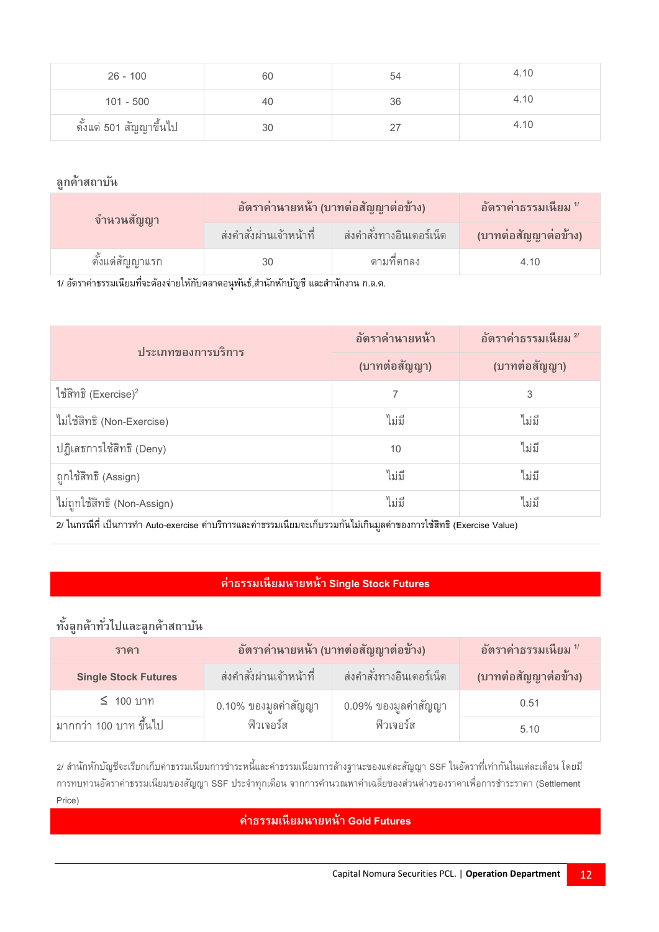| $26 - 100$              | 60 | 54       | 4.10 |
|-------------------------|----|----------|------|
| $101 - 500$             | 40 | 36       | 4.10 |
| ตั้งแต่ 501 สัญญาขึ้นไป | 30 | <u>_</u> | 4.10 |

| จำนวนสัญญา      | ้อัตราค่านายหน้า (บาทต่อสัญญาต่อข้าง) |                          | ือัตราค่าธรรมเนียม <sup>1</sup> |
|-----------------|---------------------------------------|--------------------------|---------------------------------|
|                 | ส่งคำสั่งผ่านเจ้าหน้าที่              | ส่งคำสั่งทางอินเตอร์เน็ต | (บาทต่อสัญญาต่อข้าง)            |
| ตั้งแต่สัญญาแรก |                                       | ตามที่ตกลง               | 4.10                            |

1/ อัตราค่าธรรมเนียมที่จะต้องจ่ายให้กับตลาดอนุพันธ์,สำนักหักบัญชี และสำนักงาน ก.ล.ต.

| ประเภทของการบริการ          | อัตราค่านายหน้า | อัตราค่าธรรมเนียม 2/ |
|-----------------------------|-----------------|----------------------|
|                             | (บาทต่อสัญญา)   | (บาทต่อสัญญา)        |
| ใช้สิทธิ (Exercise) $^2$    |                 | 3                    |
| ไม่ใช้สิทธิ (Non-Exercise)  | ไม่มี           | ไม่มี                |
| ปฏิเสธการใช้สิทธิ (Deny)    | 10              | ไม่มี                |
| ถูกใช้สิทธิ (Assign)        | ไม่มี           | ไม่มี                |
| ไม่ถูกใช้สิทธิ (Non-Assign) | ไม่มี           | ไม่มี                |

่ 2/ ในกรณีที่ เป็นการทำ Auto-exercise ค่าบริการและค่าธรรมเนียมจะเก็บรวมกันไม่เกินมูลค่าของการใช้สิทธิ (Exercise Value)

#### **ค่าธรรมเนียมนายหน้า Single Stock Futures**

### **ทั้งลูกค้าทั ่วไปและลูกค้าสถาบัน**

| ราคา                        | อัตราค่านายหน้า (บาทต่อสัญญาต่อข้าง) |                          | อัตราค่าธรรมเนียม "  |
|-----------------------------|--------------------------------------|--------------------------|----------------------|
| <b>Single Stock Futures</b> | ่ ส่งคำสั่งผ่านเจ้าหน้าที่           | ส่งคำสั่งทางอินเตอร์เน็ต | (บาทต่อสัญญาต่อข้าง) |
| ี≤ 100 บาท                  | 0.10% ของมูลค่าสัญญา                 | 0.09% ของมูลค่าสัญญา     | 0.51                 |
| มากกว่า 100 บาท ขึ้นไป      | ฟิวเจอร์ส                            | ฟิวเจอร์ส                | 5.10                 |

2/ สำนักหักบัญชีจะเรียกเก็บค่าธรรมเนียมการชำระหนี้และค่าธรรมเนียมการล้างฐานะของแต่ละสัญญา SSF ในอัตราที่เท่ากันในแต่ละเดือน โดยมี การทบทวนอัตราค่าธรรมเนียมของสัญญา SSF ประจำทุกเดือน จากการคำนวณหาค่าเฉลี่ยของส่วนต่างของราคาเพื่อการชำระราคา (Settlement Price)

#### **ค่าธรรมเนียมนายหน้า Gold Futures**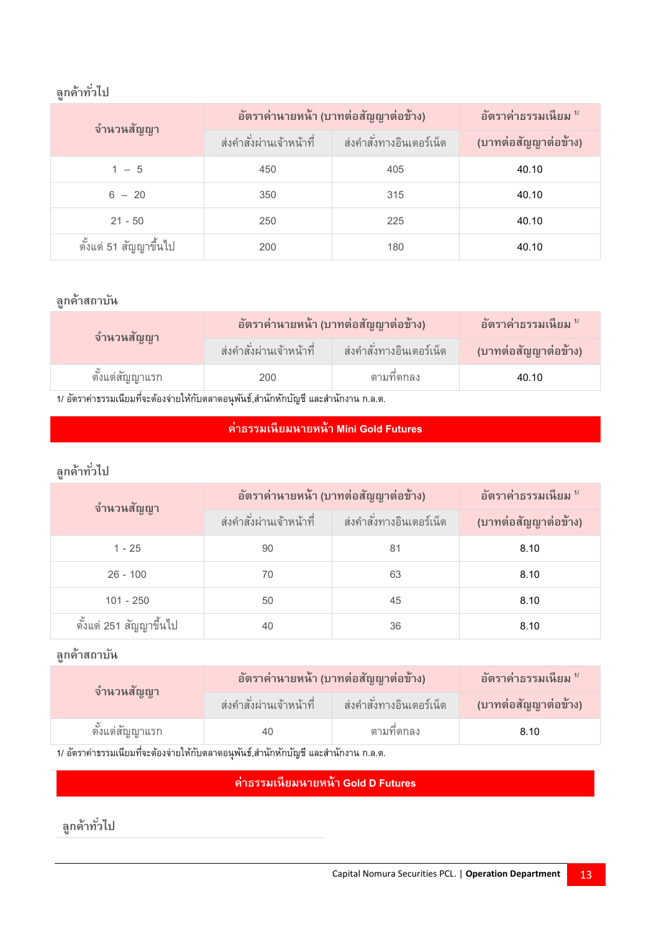# **ลูกค้าทั ่วไป**

| จำนวนสัญญา             | อัตราค่านายหน้า (บาทต่อสัญญาต่อข้าง) |                          | อัตราค่าธรรมเนียม $^{\prime\prime}$ |
|------------------------|--------------------------------------|--------------------------|-------------------------------------|
|                        | ส่งคำสั่งผ่านเจ้าหน้าที่             | ส่งคำสั่งทางอินเตอร์เน็ต | (บาทต่อสัญญาต่อข้าง)                |
| $1 - 5$                | 450                                  | 405                      | 40.10                               |
| $6 - 20$               | 350                                  | 315                      | 40.10                               |
| $21 - 50$              | 250                                  | 225                      | 40.10                               |
| ตั้งแต่ 51 สัญญาขึ้นไป | 200                                  | 180                      | 40.10                               |

#### **ลูกค้าสถาบัน**

| จำนวนสัญญา                                                                                                     | ่อัตราค่านายหน้า (บาทต่อสัญญาต่อข้าง) |                          | อัตราค่าธรรมเนียม $^{\prime\prime}$ |  |
|----------------------------------------------------------------------------------------------------------------|---------------------------------------|--------------------------|-------------------------------------|--|
|                                                                                                                | ส่งคำสั่งผ่านเจ้าหน้าที่              | ส่งคำสั่งทางอินเตอร์เน็ต | (บาทต่อสัญญาต่อข้าง)                |  |
| ตั้งแต่สัญญาแรก                                                                                                | 200                                   | ตามที่ตกลง               | 40.10                               |  |
| e d'e de la de la comme de la comme de la comme de la comme de la comme de la comme de la comme de la comme de |                                       |                          |                                     |  |

1/ อัตราค่าธรรมเนียมที่จะต้องจ่ายให้กับตลาดอนุพันธ์,สำนักหักบัญชี และสำนักงาน ก.ล.ต.

#### **ค่าธรรมเนียมนายหน้า Mini Gold Futures**

# **ลูกค้าทั ่วไป**

| จำนวนสัญญา              | อัตราค่านายหน้า (บาทต่อสัญญาต่อข้าง) |                          | อัตราค่าธรรมเนียม $^{\prime\prime}$ |
|-------------------------|--------------------------------------|--------------------------|-------------------------------------|
|                         | ส่งคำสั่งผ่านเจ้าหน้าที่             | ส่งคำสั่งทางอินเตอร์เน็ต | (บาทต่อสัญญาต่อข้าง)                |
| $1 - 25$                | 90                                   | 81                       | 8.10                                |
| $26 - 100$              | 70                                   | 63                       | 8.10                                |
| $101 - 250$             | 50                                   | 45                       | 8.10                                |
| ตั้งแต่ 251 สัญญาขึ้นไป | 40                                   | 36                       | 8.10                                |

#### **ลูกค้าสถาบัน**

| จำนวนสัญญา      | ่อัตราค่านายหน้า (บาทต่อสัญญาต่อข้าง) |                          | ือัตราค่าธรรมเนียม <sup>1</sup> |
|-----------------|---------------------------------------|--------------------------|---------------------------------|
|                 | ส่งคำสั่งผ่านเจ้าหน้าที่              | ส่งคำสั่งทางอินเตอร์เน็ต | (บาทต่อสัญญาต่อข้าง)            |
| ตั้งแต่สัญญาแรก | 40                                    | ตามที่ตกลง               | 8.10                            |

1/ อัตราค่าธรรมเนียมที่จะต้องจ่ายให้กับตลาดอนุพันธ์,สำนักหักบัญชี และสำนักงาน ก.ล.ต.

### **ค่าธรรมเนียมนายหน้า Gold D Futures**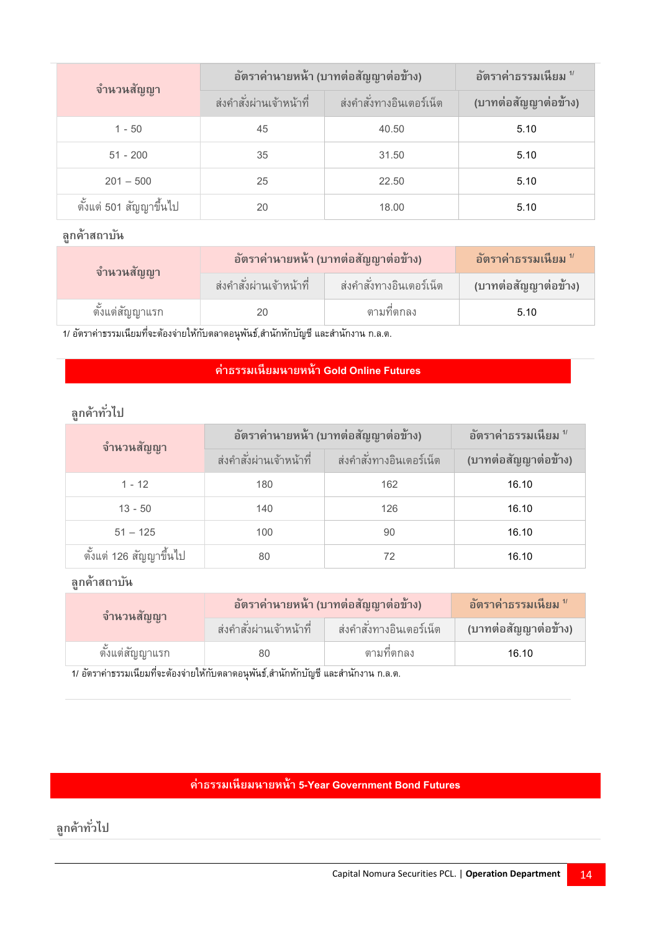| จำนวนสัญญา              | อัตราค่านายหน้า (บาทต่อสัญญาต่อข้าง) |                             | อัตราค่าธรรมเนียม $^{\prime\prime}$ |
|-------------------------|--------------------------------------|-----------------------------|-------------------------------------|
|                         | ส่งคำสั่งผ่านเจ้าหน้าที่             | ี่ ส่งคำสั่งทางอินเตอร์เน็ต | (บาทต่อสัญญาต่อข้าง)                |
| $1 - 50$                | 45                                   | 40.50                       | 5.10                                |
| $51 - 200$              | 35                                   | 31.50                       | 5.10                                |
| $201 - 500$             | 25                                   | 22.50                       | 5.10                                |
| ตั้งแต่ 501 สัญญาขึ้นไป | 20                                   | 18.00                       | 5.10                                |

| จำนวนสัญญา      | อัตราค่านายหน้า (บาทต่อสัญญาต่อข้าง) |                          | ่อัตราค่าธรรมเนียม " |
|-----------------|--------------------------------------|--------------------------|----------------------|
|                 | ส่งคำสั่งผ่านเจ้าหน้าที่             | ส่งคำสั่งทางอินเตอร์เน็ต | (บาทต่อสัญญาต่อข้าง) |
| ตั้งแต่สัญญาแรก | 20                                   | ตามที่ตกลง               | 5.10                 |

1/ อัตราค่าธรรมเนียมที่จะต้องจ่ายให้กับตลาดอนุพันธ์,สำนักหักบัญชี และสำนักงาน ก.ล.ต.

#### **ค่าธรรมเนียมนายหน้า Gold Online Futures**

# **ลูกค้าทั ่วไป**

| จำนวนสัญญา              |                             | อัตราค่านายหน้า (บาทต่อสัญญาต่อข้าง) | อัตราค่าธรรมเนียม $^{\prime\prime}$ |
|-------------------------|-----------------------------|--------------------------------------|-------------------------------------|
|                         | ี่ ส่งคำสั่งผ่านเจ้าหน้าที่ | ส่งคำสั่งทางอินเตอร์เน็ต             | (บาทต่อสัญญาต่อข้าง)                |
| $1 - 12$                | 180                         | 162                                  | 16.10                               |
| $13 - 50$               | 140                         | 126                                  | 16.10                               |
| $51 - 125$              | 100                         | 90                                   | 16.10                               |
| ตั้งแต่ 126 สัญญาขึ้นไป | 80                          | 72                                   | 16.10                               |

**ลูกค้าสถาบัน**

| จำนวนสัญญา      |                          | ่อัตราค่านายหน้า (บาทต่อสัญญาต่อข้าง) | ่อัตราค่าธรรมเนียม " |
|-----------------|--------------------------|---------------------------------------|----------------------|
|                 | ส่งคำสั่งผ่านเจ้าหน้าที่ | ส่งคำสั่งทางอินเตอร์เน็ต              | (บาทต่อสัญญาต่อข้าง) |
| ตั้งแต่สัญญาแรก | 80                       | ตามที่ตกลง                            | 16.10                |

<u>1</u>/ อัตราค่าธรรมเนียมที่จะต้องจ่ายให้กับตลาดอนุพันธ์,สำนักหักบัญชี และสำนักงาน ก.ล.ต.

#### **ค่าธรรมเนียมนายหน้า5-Year Government Bond Futures**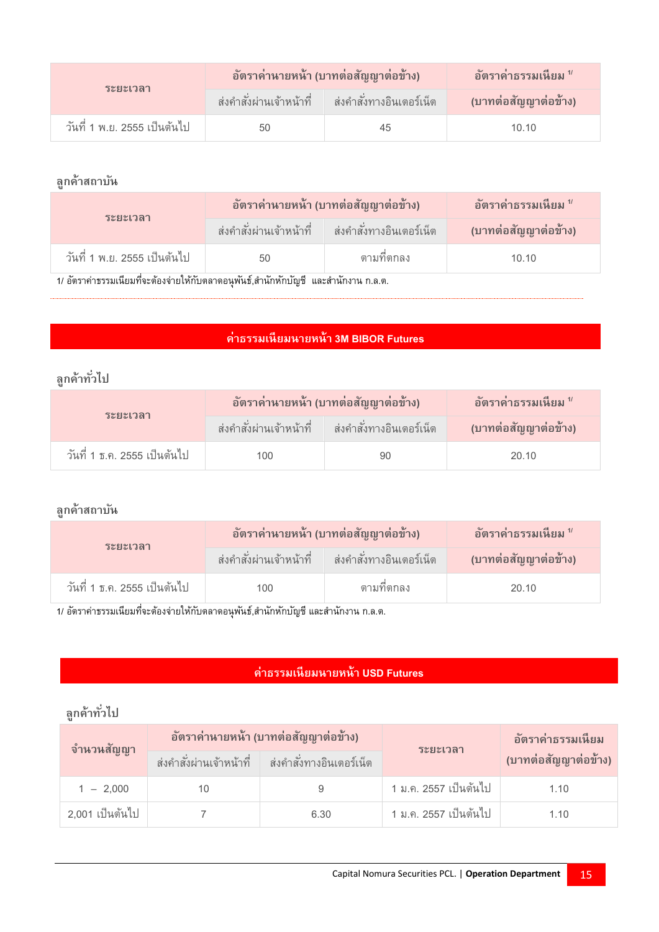| ระยะเวลา                     |    | ้อัตราค่านายหน้า (บาทต่อสัญญาต่อข้าง)                | อัตราค่าธรรมเนียม "  |
|------------------------------|----|------------------------------------------------------|----------------------|
|                              |    | ี่ ส่งคำสั่งผ่านเจ้าหน้าที่ ส่งคำสั่งทางอินเตอร์เน็ต | (บาทต่อสัญญาต่อข้าง) |
| วันที่ 1 พ.ย. 2555 เป็นต้นไป | 50 | 45                                                   | 10.10                |

| <b>ระยะเวลา</b>                                                                       |    | ้อัตราค่านายหน้า (บาทต่อสัญญาต่อข้าง)                | ือัตราค่าธรรมเนียม <sup>1</sup> ′ |
|---------------------------------------------------------------------------------------|----|------------------------------------------------------|-----------------------------------|
|                                                                                       |    | ี่ ส่งคำสั่งผ่านเจ้าหน้าที่ ส่งคำสั่งทางอินเตอร์เน็ต | (บาทต่อสัญญาต่อข้าง)              |
| วันที่ 1 พ.ย. 2555 เป็นต้นไป                                                          | 50 | ตามที่ตกลง                                           | 10.10                             |
| 1/ อัตราค่าธรรมเนียมที่จะต้องจ่ายให้กับตลาดอนุพันธ์,สำนักหักบัญชี  และสำนักงาน ก.ล.ต. |    |                                                      |                                   |

#### **ค่าธรรมเนียมนายหน้า3M BIBOR Futures**

# **ลูกค้าทั ่วไป**

| ระยะเวลา                     |      | อัตราค่านายหน้า (บาทต่อสัญญาต่อข้าง)                 | ือัตราค่าธรรมเนียม <sup>1</sup> ′ |
|------------------------------|------|------------------------------------------------------|-----------------------------------|
|                              |      | ี่ ส่งคำสั่งผ่านเจ้าหน้าที่ ส่งคำสั่งทางอินเตอร์เน็ต | (บาทต่อสัญญาต่อข้าง)              |
| วันที่ 1 ธ.ค. 2555 เป็นต้นไป | 100. | 90                                                   | 20.10                             |

#### **ลูกค้าสถาบัน**

| ระยะเวลา                     |      | ่อัตราค่านายหน้า (บาทต่อสัญญาต่อข้าง)               | ือัตราค่าธรรมเนียม <sup>1</sup> ′ |
|------------------------------|------|-----------------------------------------------------|-----------------------------------|
|                              |      | ่ ส่งคำสั่งผ่านเจ้าหน้าที่ ส่งคำสั่งทางอินเตอร์เน็ต | (บาทต่อสัญญาต่อข้าง)              |
| วันที่ 1 ธ.ค. 2555 เป็นต้นไป | 100. | ตามที่ตกลง                                          | 20.10                             |

1/ อัตราค่าธรรมเนียมที่จะต้องจ่ายให้กับตลาดอนุพันธ์,สำนักหักบัญชี และสำนักงาน ก.ล.ต.

#### **ค่าธรรมเนียมนายหน้า USD Futures**

| จำนวนสัญญา      |                          | อัตราค่านายหน้า (บาทต่อสัญญาต่อข้าง) | ระยะเวลา              | อัตราค่าธรรมเนียม    |
|-----------------|--------------------------|--------------------------------------|-----------------------|----------------------|
|                 | ส่งคำสั่งผ่านเจ้าหน้าที่ | ่ ส่งคำสั่งทางอินเตอร์เน็ต           |                       | (บาทต่อสัญญาต่อข้าง) |
| $1 - 2.000$     |                          |                                      | 1 ม.ค. 2557 เป็นต้นไป | 1.10                 |
| 2,001 เป็นต้นไป |                          | 6.30                                 | 1 ม.ค. 2557 เป็นต้นไป | 1.10                 |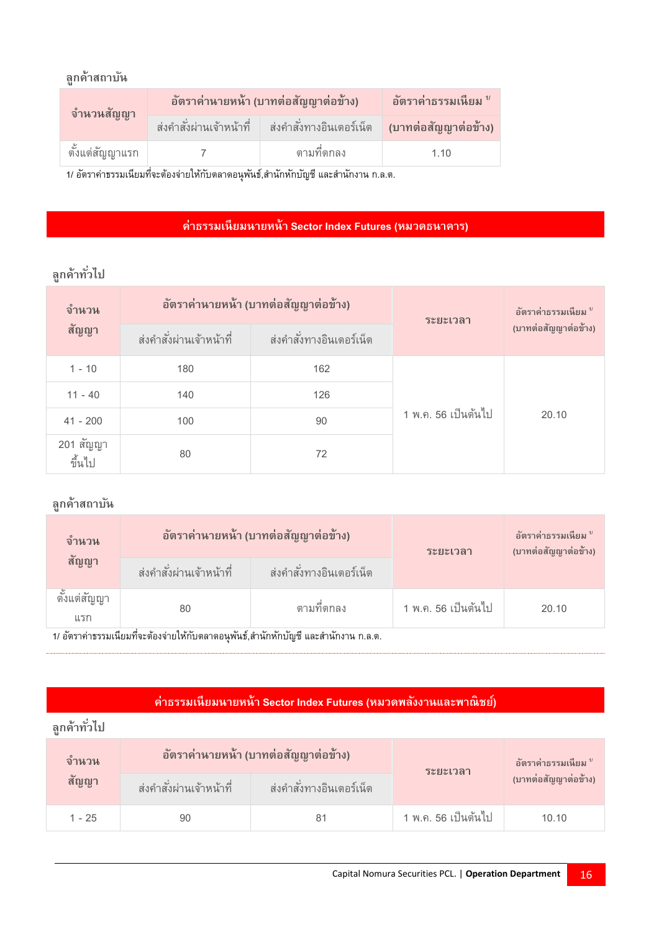| จำนวนสัญญา      | ่อัตราค่านายหน้า (บาทต่อสัญญาต่อข้าง)                                                  | ือัตราค่าธรรมเนียม <sup>1</sup> ′ |
|-----------------|----------------------------------------------------------------------------------------|-----------------------------------|
|                 | ี่ ส่งคำสั่งผ่านเจ้าหน้าที่ ส่งคำสั่งทางอินเตอร์เน็ต <mark>(บาทต่อสัญญาต่อข้าง)</mark> |                                   |
| ดั้งแต่สัญญาแรก | ตามที่ตกลง                                                                             | 1 1 0                             |

1/ อัตราค่าธรรมเนียมที่จะต้องจ่ายให้กับตลาดอนุพันธ์,สำนักหักบัญชี และสำนักงาน ก.ล.ต.

#### **ค่าธรรมเนียมนายหน้า Sector Index Futures (หมวดธนาคาร)**

# **ลูกค้าทั ่วไป**

| จำนวน               |                          | อัตราค่านายหน้า (บาทต่อสัญญาต่อข้าง) | ระยะเวลา            | อัตราค่าธรรมเนียม "  |
|---------------------|--------------------------|--------------------------------------|---------------------|----------------------|
| สัญญา               | ส่งคำสั่งผ่านเจ้าหน้าที่ | ส่งคำสั่งทางอินเตอร์เน็ต             |                     | (บาทต่อสัญญาต่อข้าง) |
| $1 - 10$            | 180                      | 162                                  |                     |                      |
| $11 - 40$           | 140                      | 126                                  |                     |                      |
| $41 - 200$          | 100                      | 90                                   | 1 พ.ค. 56 เป็นต้นไป | 20.10                |
| 201 สัญญา<br>ขึ้นไป | 80                       | 72                                   |                     |                      |

### **ลูกค้าสถาบัน**

| จำนวน                    |                          | อัตราค่านายหน้า (บาทต่อสัญญาต่อข้าง)                                                 | ระยะเวลา            | อัตราค่าธรรมเนียม "<br>(บาทต่อสัญญาต่อข้าง) |
|--------------------------|--------------------------|--------------------------------------------------------------------------------------|---------------------|---------------------------------------------|
| สัญญา                    | ส่งคำสั่งผ่านเจ้าหน้าที่ | ส่งคำสั่งทางอินเตอร์เน็ต                                                             |                     |                                             |
| ಜ<br>ตั้งแต่สัญญา<br>แรก | 80                       | ตามที่ตกลง                                                                           | 1 พ.ค. 56 เป็นต้นไป | 20.10                                       |
|                          |                          | 1/ อัตราค่าธรรมเนียมที่จะต้องจ่ายให้กับตลาดอนฺพันธ์,สำนักหักบัญชี และสำนักงาน ก.ล.ต. |                     |                                             |

**ค่าธรรมเนียมนายหน้า Sector Index Futures (หมวดพลงังานและพาณิชย)์**

| ลูกค้าทั่วไป  |                          |                                      |                     |                                 |
|---------------|--------------------------|--------------------------------------|---------------------|---------------------------------|
| <u>จ</u> ำนวน |                          | อัตราค่านายหน้า (บาทต่อสัญญาต่อข้าง) | ระยะเวลา            | ือัตราค่าธรรมเนียม <sup>1</sup> |
| สัญญา         | ส่งคำสั่งผ่านเจ้าหน้าที่ | ส่งคำสั่งทางอินเตอร์เน็ต             |                     | (บาทต่อสัญญาต่อข้าง)            |
| $1 - 25$      | 90                       | 81                                   | 1 พ.ค. 56 เป็นต้นไป | 10.10                           |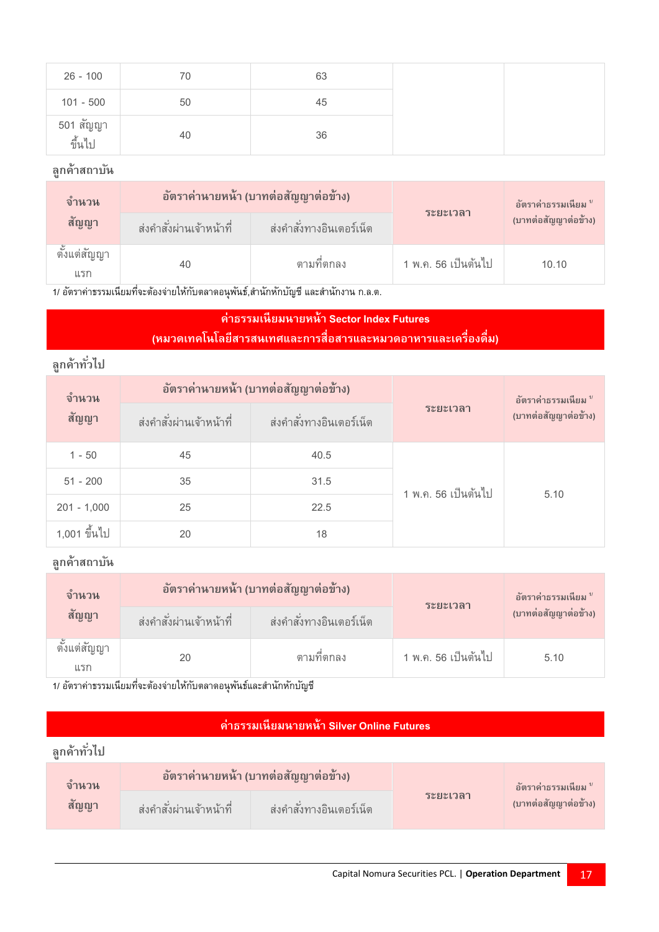| $26 - 100$          | 70 | 63 |
|---------------------|----|----|
| $101 - 500$         | 50 | 45 |
| 501 สัญญา<br>ขึ้นไบ | 40 | 36 |

| <u>จ</u> ำนวน<br>สัญญา  | อัตราค่านายหน้า (บาทต่อสัญญาต่อข้าง) |                          | ระยะเวลา            | อัตราค่าธรรมเนียม "  |
|-------------------------|--------------------------------------|--------------------------|---------------------|----------------------|
|                         | ส่งคำสั่งผ่านเจ้าหน้าที่             | ส่งคำสั่งทางอินเตอร์เน็ต |                     | (บาทต่อสัญญาต่อข้าง) |
| ಜ<br>ตั้งแต่สญญา<br>แรก | 40                                   | ตามที่ตกลง               | 1 พ.ค. 56 เป็นต้นไป | 10.10                |

1/ อัตราค่าธรรมเนียมที่จะต้องจ่ายให้กับตลาดอนุพันธ์,สำนักหักบัญชี และสำนักงาน ก.ล.ต.

### **ค่าธรรมเนียมนายหน้า Sector Index Futures (หมวดเทคโนโลยีสารสนเทศและการสื่อสารและหมวดอาหารและเครื่องดื่ม)**

# **ลูกค้าทั ่วไป**

| จำนวน<br>สัญญา | อัตราค่านายหน้า (บาทต่อสัญญาต่อข้าง) |                          |                     | อัตราค่าธรรมเนียม "  |
|----------------|--------------------------------------|--------------------------|---------------------|----------------------|
|                | ส่งคำสั่งผ่านเจ้าหน้าที่             | ส่งคำสั่งทางอินเตอร์เน็ต | ระยะเวลา            | (บาทต่อสัญญาต่อข้าง) |
| $1 - 50$       | 45                                   | 40.5                     |                     |                      |
| $51 - 200$     | 35                                   | 31.5                     | 1 พ.ค. 56 เป็นต้นไป | 5.10                 |
| $201 - 1,000$  | 25                                   | 22.5                     |                     |                      |
| 1,001 ขึ้นไป   | 20                                   | 18                       |                     |                      |

### **ลูกค้าสถาบัน**

| <u>จ</u> ำนวน<br>สัญญา  | อัตราค่านายหน้า (บาทต่อสัญญาต่อข้าง) |                            | <b>ระยะเวลา</b>     | อัตราค่าธรรมเนียม "  |
|-------------------------|--------------------------------------|----------------------------|---------------------|----------------------|
|                         | ส่งคำสั่งผ่านเจ้าหน้าที่             | ้ ส่งคำสั่งทางอินเตอร์เน็ต |                     | (บาทต่อสัญญาต่อข้าง) |
| ಕಿ<br>ดงแต่สัญญา<br>แรก | 20                                   | ตามที่ตกลง                 | 1 พ.ค. 56 เป็นต้นไป | 5.10                 |

1/ อัตราค่าธรรมเนี่ยมที่จะต้องจ่ายให้กับตลาดอนุพันธ์และสำนักหักบัญชี

### **ค่าธรรมเนียมนายหน้า Silver Online Futures**

| ิจานวน | ่ อัตราค่านายหน้า (บาทต่อสัญญาต่อข้าง) |                            |                  | ่อัตราค่าธรรมเนียม " |
|--------|----------------------------------------|----------------------------|------------------|----------------------|
| สัญญา  | ี ส่งคำสั่งผ่านเจ้าหน้าที่             | ี ส่งคำสั่งทางอินเตอร์เน็ต | <i>ร</i> ะยะเวลา | (บาทต่อสัญญาต่อข้าง) |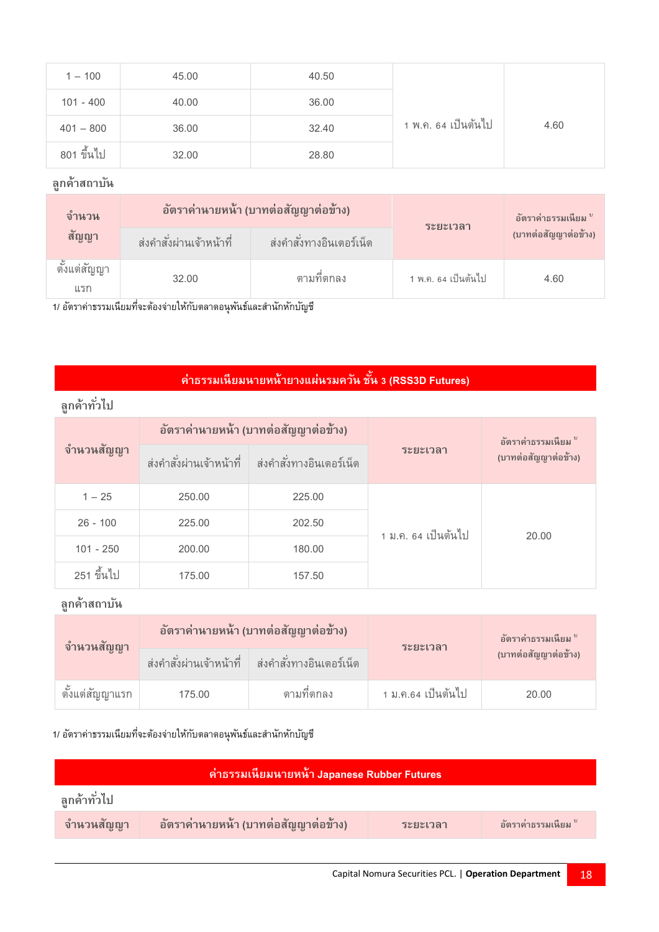| $1 - 100$   | 45.00 | 40.50 |                     |      |
|-------------|-------|-------|---------------------|------|
| $101 - 400$ | 40.00 | 36.00 |                     |      |
| $401 - 800$ | 36.00 | 32.40 | 1 พ.ค. 64 เป็นต้นไป | 4.60 |
| 801 ขึ้นไป  | 32.00 | 28.80 |                     |      |

| <b>จำนวน</b><br>สัญญา   | อัตราค่านายหน้า (บาทต่อสัญญาต่อข้าง) |                          | <b>ระยะเวลา</b>     | อัตราค่าธรรมเนียม "  |
|-------------------------|--------------------------------------|--------------------------|---------------------|----------------------|
|                         | ส่งคำสั่งผ่านเจ้าหน้าที่             | ส่งคำสั่งทางอินเตอร์เน็ต |                     | (บาทต่อสัญญาต่อข้าง) |
| ಜ<br>ตั้งแต่สญญา<br>แรก | 32.00                                | ตามที่ตกลง               | 1 พ.ค. 64 เป็นต้นไป | 4.60                 |

1/ อัตราค่าธรรมเนียมที่จะต้องจ่ายให้กับตลาดอนุพันธ์และสำนักหักบัญชี

#### **ค่าธรรมเนียมนายหน้ายางแผน่ รมควนั ชนั้ 3 (RSS3D Futures)**

| ลกค้าทั่วไป |                                      |                                                        |                     |                      |
|-------------|--------------------------------------|--------------------------------------------------------|---------------------|----------------------|
|             | อัตราค่านายหน้า (บาทต่อสัญญาต่อข้าง) |                                                        |                     | อัตราค่าธรรมเนียม "  |
| จำนวนสัญญา  |                                      | ี่ ส่งคำสั่งผ่านเจ้าหน้าที่ d ส่งคำสั่งทางอินเตอร์เน็ต | <b>ระยะเวลา</b>     | (บาทต่อสัญญาต่อข้าง) |
| $1 - 25$    | 250.00                               | 225.00                                                 |                     |                      |
| $26 - 100$  | 225.00                               | 202.50                                                 | 1 ม.ค. 64 เป็นต้นไป | 20.00                |
| $101 - 250$ | 200.00                               | 180.00                                                 |                     |                      |
| 251 ขึ้นไป  | 175.00                               | 157.50                                                 |                     |                      |

**ลูกค้าสถาบัน**

| ึจำนวนสัญญา       | ่อัตราค่านายหน้า (บาทต่อสัญญาต่อข้าง) |                                                        | ระยะเวลา           | อัตราค่าธรรมเนียม "  |
|-------------------|---------------------------------------|--------------------------------------------------------|--------------------|----------------------|
|                   |                                       | ี่ ส่งคำสั่งผ่านเจ้าหน้าที่   ส่งคำสั่งทางอินเตอร์เน็ต |                    | (บาทต่อสัญญาต่อข้าง) |
| ดั้งแต่สัญญาแรก 1 | 175.00                                | ตามที่ตกลง                                             | 1 ม.ค.64 เป็นต้นไป | 20.00                |

#### 1/ อัตราค่าธรรมเนียมที่จะต้องจ่ายให้กับตลาดอนุพันธ์และสำนักหักบัญชี

| ค่าธรรมเนียมนายหน้า Japanese Rubber Futures |                                       |          |                     |  |
|---------------------------------------------|---------------------------------------|----------|---------------------|--|
| ลูกค้าทั่วไป                                |                                       |          |                     |  |
| จำนวนสัญญา                                  | ่อัตราค่านายหน้า (บาทต่อสัญญาต่อข้าง) | ระยะเวลา | อัตราค่าธรรมเนียม " |  |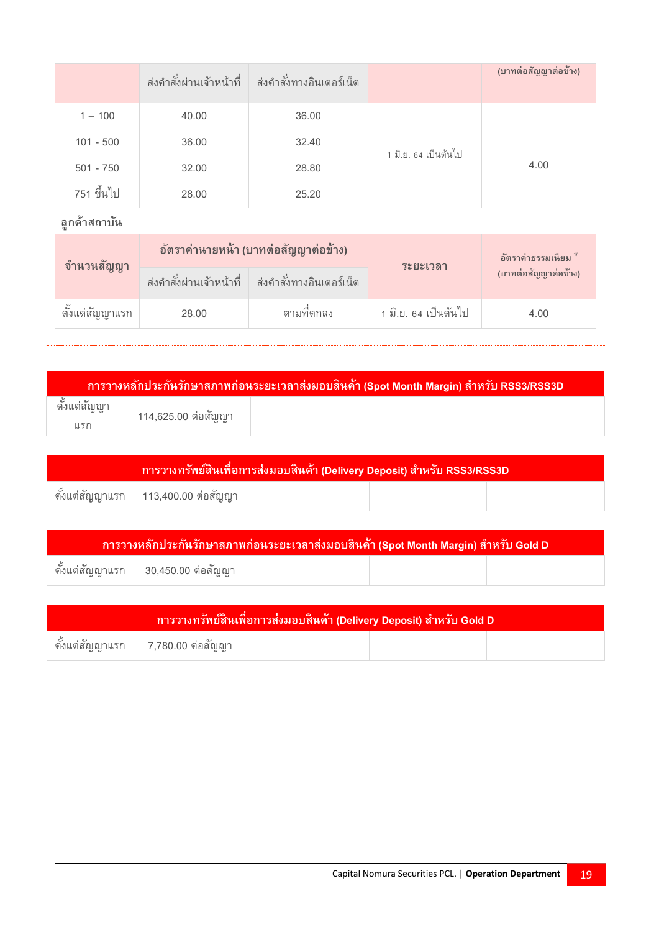|             |       | ี่ ส่งคำสั่งผ่านเจ้าหน้าที่ ส่งคำสั่งทางอินเตอร์เน็ต |                      | (บาทต่อสัญญาต่อข้าง) |
|-------------|-------|------------------------------------------------------|----------------------|----------------------|
| $1 - 100$   | 40.00 | 36.00                                                |                      |                      |
| $101 - 500$ | 36.00 | 32.40                                                | 1 มิ.ย. 64 เป็นต้นไป |                      |
| $501 - 750$ | 32.00 | 28.80                                                |                      | 4.00                 |
| 751 ขึ้นไป  | 28.00 | 25.20                                                |                      |                      |

| จำนวนสัญญา      | อัตราค่านายหน้า (บาทต่อสัญญาต่อข้าง) |                                                        | ระยะเวลา             | อัตราค่าธรรมเนียม "  |
|-----------------|--------------------------------------|--------------------------------------------------------|----------------------|----------------------|
|                 |                                      | ี่ ส่งคำสั่งผ่านเจ้าหน้าที่   ส่งคำสั่งทางอินเตอร์เน็ต |                      | (บาทต่อสัญญาต่อข้าง) |
| ดั้งแต่สัญญาแรก | 28.00                                | ตามที่ตกลง                                             | 1 มิ.ย. 64 เป็นต้นไป | 4.00                 |

| <u>ี การวางหลักประกันรักษาสภาพก่อนระยะเวลาส่งมอ</u> บสินค้า (Spot Month Margin) สำหรับ RSS3/RSS3D |                     |  |  |  |
|---------------------------------------------------------------------------------------------------|---------------------|--|--|--|
|                                                                                                   | 114,625.00 ต่อสัญญา |  |  |  |
| แรก                                                                                               |                     |  |  |  |

| <u>ี่ การวางทรัพย์สินเพื่</u> อการส่งมอบสินค้า (Delivery Deposit) สำหรับ RSS3/RSS3D |                                                     |  |  |  |  |  |  |  |
|-------------------------------------------------------------------------------------|-----------------------------------------------------|--|--|--|--|--|--|--|
|                                                                                     | ุ ตั้งแต่สัญญาแรก   113,400.00 ต่อสัญญา $^{\prime}$ |  |  |  |  |  |  |  |

| การวางหลักประกันรักษาสภาพก่อนระยะเวลาส่งมอบสินค้า (Spot Month Margin) สำหรับ Gold D |                    |  |  |  |  |  |  |  |
|-------------------------------------------------------------------------------------|--------------------|--|--|--|--|--|--|--|
| ตั้งแต่สัญญาแรก                                                                     | 30,450.00 ต่อสัญญา |  |  |  |  |  |  |  |

| การวางทรัพย์สินเพื่อการส่งมอบสินค้า (Delivery Deposit) สำหรับ Gold D |                                          |  |  |  |  |  |  |  |
|----------------------------------------------------------------------|------------------------------------------|--|--|--|--|--|--|--|
|                                                                      | ตั้งแต่สัญญาแรก $\mid$ 7,780.00 ต่อสัญญา |  |  |  |  |  |  |  |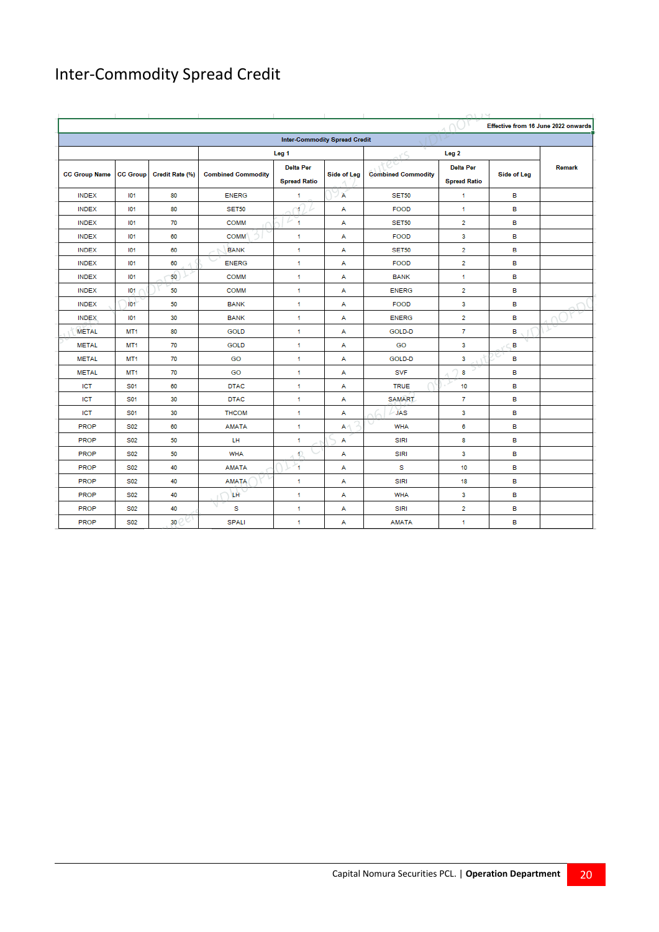# Inter-Commodity Spread Credit

|                      |                 |                 |                           |                                         |             |                           |                                         | Effective from 16 June 2022 onwards |        |
|----------------------|-----------------|-----------------|---------------------------|-----------------------------------------|-------------|---------------------------|-----------------------------------------|-------------------------------------|--------|
|                      |                 |                 |                           | <b>Inter-Commodity Spread Credit</b>    |             |                           |                                         |                                     |        |
|                      |                 |                 |                           | Leg <sub>1</sub>                        |             |                           | Leg <sub>2</sub>                        |                                     |        |
| <b>CC Group Name</b> | <b>CC Group</b> | Credit Rate (%) | <b>Combined Commodity</b> | <b>Delta Per</b><br><b>Spread Ratio</b> | Side of Leg | <b>Combined Commodity</b> | <b>Delta Per</b><br><b>Spread Ratio</b> | Side of Leg                         | Remark |
| <b>INDEX</b>         | 101             | 80              | <b>ENERG</b>              | $\mathbf{1}$                            | Α           | <b>SET50</b>              | 1                                       | в                                   |        |
| <b>INDEX</b>         | 101             | 80              | <b>SET50</b>              | 11                                      | А           | <b>FOOD</b>               | 1                                       | в                                   |        |
| <b>INDEX</b>         | 101             | 70              | <b>COMM</b>               | $\overline{1}$                          | А           | <b>SET50</b>              | $\overline{2}$                          | в                                   |        |
| <b>INDEX</b>         | 101             | 60              | <b>COMM</b>               | $\overline{1}$                          | А           | <b>FOOD</b>               | 3                                       | в                                   |        |
| <b>INDEX</b>         | 101             | 60              | <b>BANK</b>               | 1                                       | A           | <b>SET50</b>              | 2                                       | в                                   |        |
| <b>INDEX</b>         | 101             | 60              | <b>ENERG</b>              | 1                                       | А           | <b>FOOD</b>               | $\overline{2}$                          | в                                   |        |
| <b>INDEX</b>         | 101             | 50              | <b>COMM</b>               | $\overline{1}$                          | А           | <b>BANK</b>               | 1                                       | в                                   |        |
| <b>INDEX</b>         | 101             | 50              | <b>COMM</b>               | $\overline{1}$                          | А           | <b>ENERG</b>              | $\overline{2}$                          | в                                   |        |
| <b>INDEX</b>         | IO <sub>1</sub> | 50              | <b>BANK</b>               | $\mathbf{1}$                            | A           | <b>FOOD</b>               | 3                                       | в                                   |        |
| <b>INDEX</b>         | 101             | 30              | <b>BANK</b>               | 1                                       | A           | <b>ENERG</b>              | $\overline{2}$                          | в                                   |        |
| <b>METAL</b>         | MT <sub>1</sub> | 80              | <b>GOLD</b>               | 1                                       | А           | GOLD-D                    | 7                                       | в                                   |        |
| <b>METAL</b>         | MT <sub>1</sub> | 70              | <b>GOLD</b>               | $\mathbf{1}$                            | A           | GO                        | 3                                       | в                                   |        |
| <b>METAL</b>         | MT <sub>1</sub> | 70              | GO                        | $\overline{1}$                          | А           | GOLD-D                    | 3                                       | в                                   |        |
| <b>METAL</b>         | MT <sub>1</sub> | 70              | GO                        | 1                                       | А           | <b>SVF</b>                | 8                                       | в                                   |        |
| ICT                  | S01             | 60              | <b>DTAC</b>               | $\overline{1}$                          | А           | <b>TRUE</b>               | 10                                      | в                                   |        |
| <b>ICT</b>           | S01             | 30              | <b>DTAC</b>               | 1                                       | А           | <b>SAMART</b>             | 7                                       | в                                   |        |
| <b>ICT</b>           | S01             | 30              | <b>THCOM</b>              | $\overline{1}$                          | A           | <b>JAS</b>                | 3                                       | в                                   |        |
| <b>PROP</b>          | S <sub>02</sub> | 60              | <b>AMATA</b>              | 1                                       | A           | <b>WHA</b>                | 6                                       | в                                   |        |
| <b>PROP</b>          | S02             | 50              | LH                        | $\mathbf{1}$                            | А           | <b>SIRI</b>               | 8                                       | в                                   |        |
| PROP                 | S02             | 50              | <b>WHA</b>                | $\mathbb{O}$                            | A           | <b>SIRI</b>               | 3                                       | в                                   |        |
| PROP                 | S02             | 40              | <b>AMATA</b>              | $\overline{1}$                          | А           | s                         | 10                                      | в                                   |        |
| <b>PROP</b>          | S02             | 40              | <b>AMATA</b>              | 1                                       | A           | <b>SIRI</b>               | 18                                      | в                                   |        |
| <b>PROP</b>          | S02             | 40              | <b>LH</b>                 | 1                                       | А           | <b>WHA</b>                | 3                                       | в                                   |        |
| <b>PROP</b>          | S <sub>02</sub> | 40              | s                         | $\overline{1}$                          | А           | <b>SIRI</b>               | 2                                       | в                                   |        |
| <b>PROP</b>          | S <sub>02</sub> | 30              | <b>SPALI</b>              | $\mathbf{1}$                            | А           | <b>AMATA</b>              | 1                                       | в                                   |        |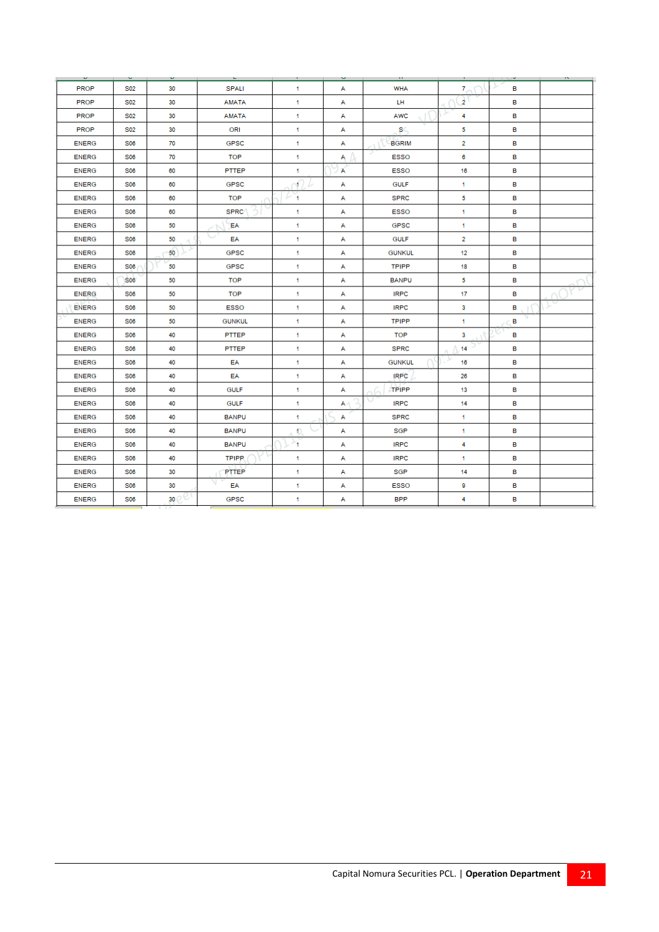| υ.           | $\sim$          | υ.              | ъ.            | п.        | v. | -99.          |                | o. | $\mathbf{a}$ |
|--------------|-----------------|-----------------|---------------|-----------|----|---------------|----------------|----|--------------|
| <b>PROP</b>  | S <sub>02</sub> | 30              | SPALI         | 1.        | А  | <b>WHA</b>    | $7 -$          | в  |              |
| <b>PROP</b>  | S <sub>02</sub> | 30              | <b>AMATA</b>  | 1.        | А  | LH.           | $\overline{2}$ | в  |              |
| <b>PROP</b>  | S <sub>02</sub> | 30              | <b>AMATA</b>  | 1.        | А  | <b>AWC</b>    | 4              | в  |              |
| <b>PROP</b>  | S02             | 30              | ORI           | 1         | A  | SC.           | 5              | в  |              |
| <b>ENERG</b> | S06             | 70              | <b>GPSC</b>   | 1.        | А  | <b>BGRIM</b>  | $\overline{2}$ | в  |              |
| <b>ENERG</b> | S06             | 70              | TOP           | 1         | A  | <b>ESSO</b>   | 6              | в  |              |
| <b>ENERG</b> | S06             | 60              | PTTEP         | 1.        | А  | <b>ESSO</b>   | 16             | в  |              |
| <b>ENERG</b> | S06             | 60              | <b>GPSC</b>   | n¶ )      | А  | <b>GULF</b>   | 1.             | в  |              |
| <b>ENERG</b> | S06             | 60              | <b>TOP</b>    | r 1       | А  | <b>SPRC</b>   | 5              | в  |              |
| <b>ENERG</b> | S06             | 60              | <b>SPRC</b>   | 1         | А  | <b>ESSO</b>   | 1              | в  |              |
| <b>ENERG</b> | <b>S06</b>      | 50              | EA            | 1         | A  | <b>GPSC</b>   | 1              | в  |              |
| <b>ENERG</b> | <b>S06</b>      | 50              | EA            | 1.        | А  | <b>GULF</b>   | $\overline{2}$ | в  |              |
| <b>ENERG</b> | <b>S06</b>      | 50              | <b>GPSC</b>   | 1         | A  | <b>GUNKUL</b> | 12             | в  |              |
| <b>ENERG</b> | S06             | 50              | GPSC          | 1         | А  | <b>TPIPP</b>  | 18             | в  |              |
| <b>ENERG</b> | S06             | 50              | TOP           | 1.        | A  | <b>BANPU</b>  | 5              | в  |              |
| <b>ENERG</b> | <b>S06</b>      | 50              | TOP           | 1.        | A  | <b>IRPC</b>   | 17             | в  |              |
| <b>ENERG</b> | <b>S06</b>      | 50              | <b>ESSO</b>   | 1         | A  | <b>IRPC</b>   | 3              | в  |              |
| <b>ENERG</b> | <b>S06</b>      | 50              | <b>GUNKUL</b> | 1.        | A  | <b>TPIPP</b>  | 1              | в  |              |
| <b>ENERG</b> | S06             | 40              | PTTEP         | 1         | A  | <b>TOP</b>    | 3              | в  |              |
| <b>ENERG</b> | <b>S06</b>      | 40              | <b>PTTEP</b>  | 1.        | А  | <b>SPRC</b>   | 14             | в  |              |
| <b>ENERG</b> | S06             | 40              | EA            | 1         | А  | <b>GUNKUL</b> | 16             | в  |              |
| <b>ENERG</b> | S06             | 40              | EA            | 1.        | A  | <b>IRPC</b>   | 26             | в  |              |
| <b>ENERG</b> | S06             | 40              | <b>GULF</b>   | 1.        | A  | <b>TPIPP</b>  | 13             | в  |              |
| <b>ENERG</b> | S06             | 40              | <b>GULF</b>   | 1         | A4 | <b>IRPC</b>   | 14             | в  |              |
| <b>ENERG</b> | S06             | 40              | <b>BANPU</b>  | 1         | А  | <b>SPRC</b>   | 1.             | в  |              |
| <b>ENERG</b> | S06             | 40              | <b>BANPU</b>  | $\bullet$ | А  | <b>SGP</b>    | 1              | в  |              |
| <b>ENERG</b> | <b>S06</b>      | 40              | <b>BANPU</b>  | ×.        | A  | <b>IRPC</b>   | 4              | в  |              |
| <b>ENERG</b> | <b>S06</b>      | 40              | <b>TPIPP</b>  | 1         | А  | <b>IRPC</b>   | 1              | в  |              |
| <b>ENERG</b> | <b>S06</b>      | 30              | PTTEP         | 1         | A  | SGP           | 14             | в  |              |
| <b>ENERG</b> | S06             | 30              | EA            | 1         | А  | <b>ESSO</b>   | 9              | в  |              |
| <b>ENERG</b> | <b>S06</b>      | 30 <sup>2</sup> | <b>GPSC</b>   | 1         | А  | <b>BPP</b>    | 4              | в  |              |